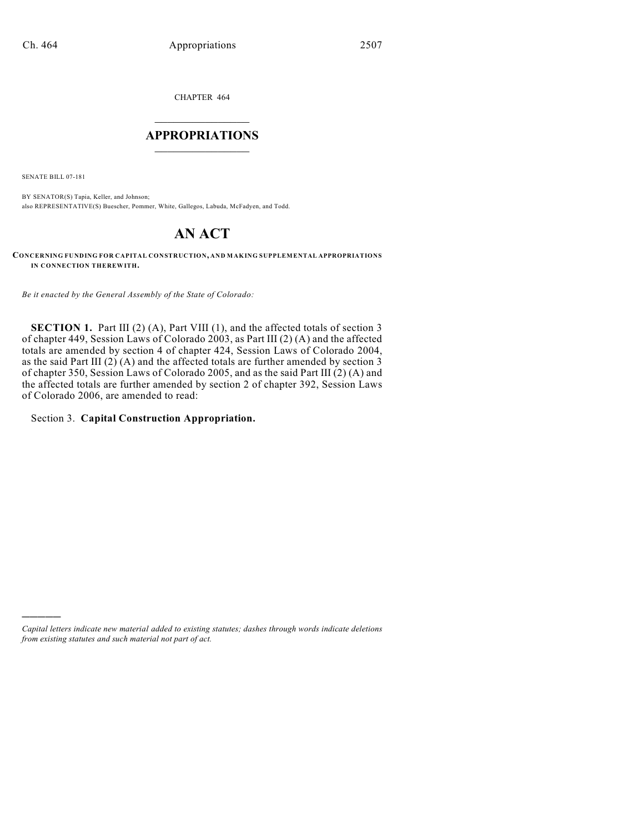CHAPTER 464

# $\mathcal{L}_\text{max}$  . The set of the set of the set of the set of the set of the set of the set of the set of the set of the set of the set of the set of the set of the set of the set of the set of the set of the set of the set **APPROPRIATIONS**  $\_$   $\_$   $\_$   $\_$   $\_$   $\_$   $\_$   $\_$

SENATE BILL 07-181

)))))

BY SENATOR(S) Tapia, Keller, and Johnson; also REPRESENTATIVE(S) Buescher, Pommer, White, Gallegos, Labuda, McFadyen, and Todd.

# **AN ACT**

**CONCERNING FUNDING FOR CAPITAL CONSTRUCTION, AND MAKING SUPPLEMENTAL APPROPRIATIONS IN CONNECTION THEREWITH.**

*Be it enacted by the General Assembly of the State of Colorado:*

**SECTION 1.** Part III (2) (A), Part VIII (1), and the affected totals of section 3 of chapter 449, Session Laws of Colorado 2003, as Part III (2) (A) and the affected totals are amended by section 4 of chapter 424, Session Laws of Colorado 2004, as the said Part III (2) (A) and the affected totals are further amended by section 3 of chapter 350, Session Laws of Colorado 2005, and as the said Part III (2) (A) and the affected totals are further amended by section 2 of chapter 392, Session Laws of Colorado 2006, are amended to read:

#### Section 3. **Capital Construction Appropriation.**

*Capital letters indicate new material added to existing statutes; dashes through words indicate deletions from existing statutes and such material not part of act.*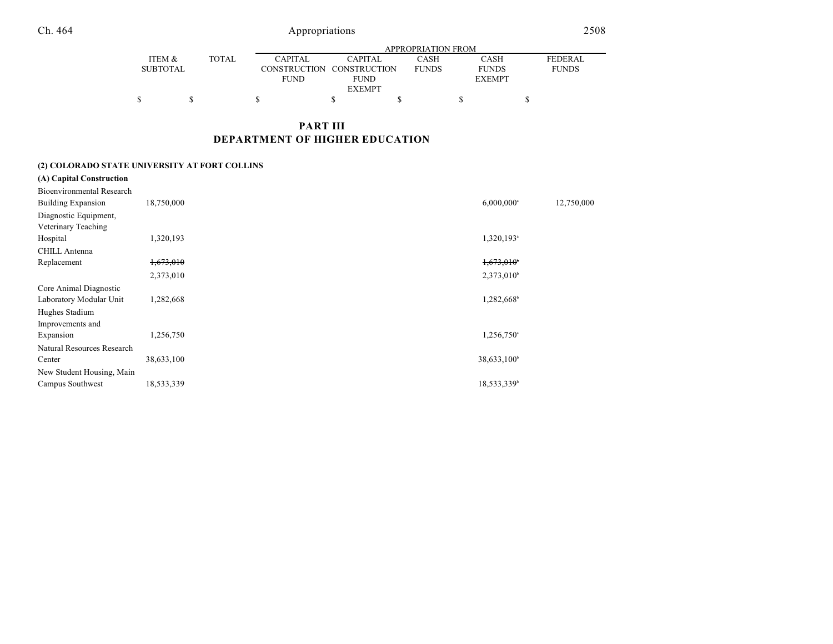|                 |              | APPROPRIATION FROM  |                |              |                              |                |  |
|-----------------|--------------|---------------------|----------------|--------------|------------------------------|----------------|--|
| ITEM &          | <b>TOTAL</b> | <b>CAPITAL</b>      | <b>CAPITAL</b> | CASH         | CASH                         | <b>FEDERAL</b> |  |
| <b>SUBTOTAL</b> |              | <b>CONSTRUCTION</b> | CONSTRUCTION   | <b>FUNDS</b> | <b>FUNDS</b><br><b>FUNDS</b> |                |  |
|                 |              | <b>FUND</b>         | <b>FUND</b>    |              | <b>EXEMPT</b>                |                |  |
| <b>EXEMPT</b>   |              |                     |                |              |                              |                |  |
|                 |              |                     |                |              |                              |                |  |

# **PART III DEPARTMENT OF HIGHER EDUCATION**

# **(2) COLORADO STATE UNIVERSITY AT FORT COLLINS**

|             | (A) Capital Construction         |            |                          |            |
|-------------|----------------------------------|------------|--------------------------|------------|
|             | <b>Bioenvironmental Research</b> |            |                          |            |
|             | <b>Building Expansion</b>        | 18,750,000 | $6,000,000$ <sup>a</sup> | 12,750,000 |
|             | Diagnostic Equipment,            |            |                          |            |
|             | Veterinary Teaching              |            |                          |            |
| Hospital    |                                  | 1,320,193  | 1,320,193 <sup>a</sup>   |            |
|             | <b>CHILL Antenna</b>             |            |                          |            |
| Replacement |                                  | 1,673,010  | 1,673,010                |            |
|             |                                  | 2,373,010  | $2,373,010^b$            |            |
|             | Core Animal Diagnostic           |            |                          |            |
|             | Laboratory Modular Unit          | 1,282,668  | 1,282,668 <sup>b</sup>   |            |
|             | Hughes Stadium                   |            |                          |            |
|             | Improvements and                 |            |                          |            |
| Expansion   |                                  | 1,256,750  | 1,256,750 <sup>a</sup>   |            |
|             | Natural Resources Research       |            |                          |            |
| Center      |                                  | 38,633,100 | 38,633,100 <sup>b</sup>  |            |
|             | New Student Housing, Main        |            |                          |            |
|             | Campus Southwest                 | 18,533,339 | 18,533,339 <sup>b</sup>  |            |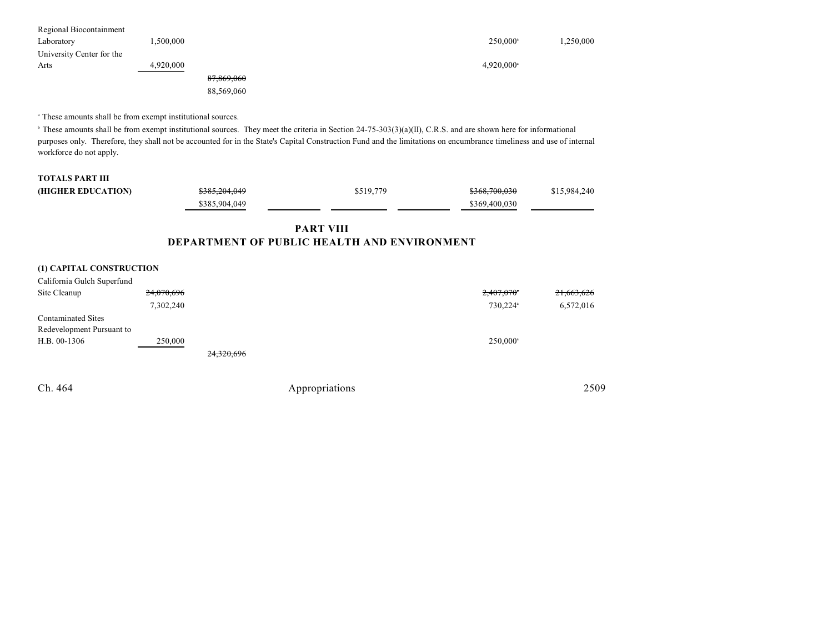| Regional Biocontainment   |           |            |                          |          |
|---------------------------|-----------|------------|--------------------------|----------|
| Laboratory                | .500,000  |            | $250,000^{\circ}$        | .250,000 |
| University Center for the |           |            |                          |          |
| Arts                      | 4,920,000 |            | $4,920,000$ <sup>a</sup> |          |
|                           |           | 87,869,060 |                          |          |
|                           |           | 88,569,060 |                          |          |

<sup>a</sup> These amounts shall be from exempt institutional sources.

<sup>b</sup> These amounts shall be from exempt institutional sources. They meet the criteria in Section 24-75-303(3)(a)(II), C.R.S. and are shown here for informational purposes only. Therefore, they shall not be accounted for in the State's Capital Construction Fund and the limitations on encumbrance timeliness and use of internal workforce do not apply.

| <b>TOTALS PART III</b> |               |           |               |              |
|------------------------|---------------|-----------|---------------|--------------|
| (HIGHER EDUCATION)     | \$385,204,049 | \$519,779 | \$368,700,030 | \$15,984,240 |
|                        | \$385,904,049 |           | \$369,400,030 |              |
|                        |               |           |               |              |

### **PART VIII DEPARTMENT OF PUBLIC HEALTH AND ENVIRONMENT**

#### **(1) CAPITAL CONSTRUCTION**

| California Gulch Superfund |            |            |                        |            |
|----------------------------|------------|------------|------------------------|------------|
| Site Cleanup               | 24,070,696 |            | 2,407,070              | 21,663,626 |
|                            | 7,302,240  |            | 730,224 <sup>a</sup>   | 6,572,016  |
| <b>Contaminated Sites</b>  |            |            |                        |            |
| Redevelopment Pursuant to  |            |            |                        |            |
| H.B. 00-1306               | 250,000    |            | $250.000$ <sup>a</sup> |            |
|                            |            | 24,320,696 |                        |            |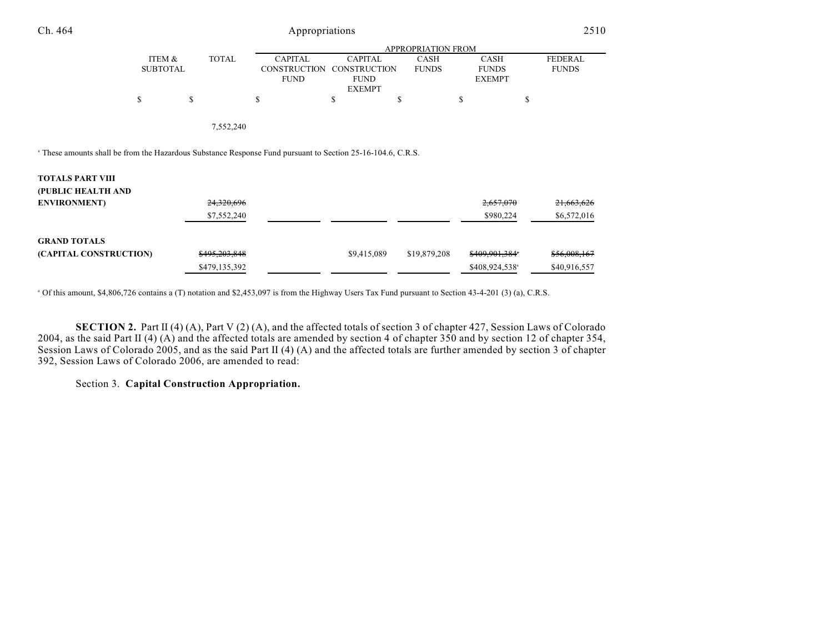| Ch. 464                                                                                                                | Appropriations            |                          |                                                      |                                                                       |                             |                                              | 2510                           |  |
|------------------------------------------------------------------------------------------------------------------------|---------------------------|--------------------------|------------------------------------------------------|-----------------------------------------------------------------------|-----------------------------|----------------------------------------------|--------------------------------|--|
|                                                                                                                        | APPROPRIATION FROM        |                          |                                                      |                                                                       |                             |                                              |                                |  |
|                                                                                                                        | ITEM &<br><b>SUBTOTAL</b> | <b>TOTAL</b>             | <b>CAPITAL</b><br><b>CONSTRUCTION</b><br><b>FUND</b> | <b>CAPITAL</b><br><b>CONSTRUCTION</b><br><b>FUND</b><br><b>EXEMPT</b> | <b>CASH</b><br><b>FUNDS</b> | <b>CASH</b><br><b>FUNDS</b><br><b>EXEMPT</b> | <b>FEDERAL</b><br><b>FUNDS</b> |  |
|                                                                                                                        | \$                        | \$                       | S                                                    | \$                                                                    | S                           | \$<br>\$                                     |                                |  |
|                                                                                                                        |                           | 7,552,240                |                                                      |                                                                       |                             |                                              |                                |  |
| <sup>a</sup> These amounts shall be from the Hazardous Substance Response Fund pursuant to Section 25-16-104.6, C.R.S. |                           |                          |                                                      |                                                                       |                             |                                              |                                |  |
| <b>TOTALS PART VIII</b>                                                                                                |                           |                          |                                                      |                                                                       |                             |                                              |                                |  |
| (PUBLIC HEALTH AND                                                                                                     |                           |                          |                                                      |                                                                       |                             |                                              |                                |  |
| <b>ENVIRONMENT</b> )                                                                                                   |                           | <del>24,320,696</del>    |                                                      |                                                                       |                             | 2,657,070                                    | 21,663,626                     |  |
|                                                                                                                        |                           | \$7,552,240              |                                                      |                                                                       |                             | \$980,224                                    | \$6,572,016                    |  |
| <b>GRAND TOTALS</b>                                                                                                    |                           |                          |                                                      |                                                                       |                             |                                              |                                |  |
| (CAPITAL CONSTRUCTION)                                                                                                 |                           | <del>\$495,203,848</del> |                                                      | \$9,415,089                                                           | \$19,879,208                | \$409,901,384*                               | \$56,008,167                   |  |
|                                                                                                                        |                           | \$479,135,392            |                                                      |                                                                       |                             | \$408,924,538 <sup>a</sup>                   | \$40,916,557                   |  |

Of this amount, \$4,806,726 contains a (T) notation and \$2,453,097 is from the Highway Users Tax Fund pursuant to Section 43-4-201 (3) (a), C.R.S. <sup>a</sup>

**SECTION 2.** Part II (4) (A), Part V (2) (A), and the affected totals of section 3 of chapter 427, Session Laws of Colorado 2004, as the said Part II (4) (A) and the affected totals are amended by section 4 of chapter 350 and by section 12 of chapter 354, Session Laws of Colorado 2005, and as the said Part II (4) (A) and the affected totals are further amended by section 3 of chapter 392, Session Laws of Colorado 2006, are amended to read:

Section 3. **Capital Construction Appropriation.**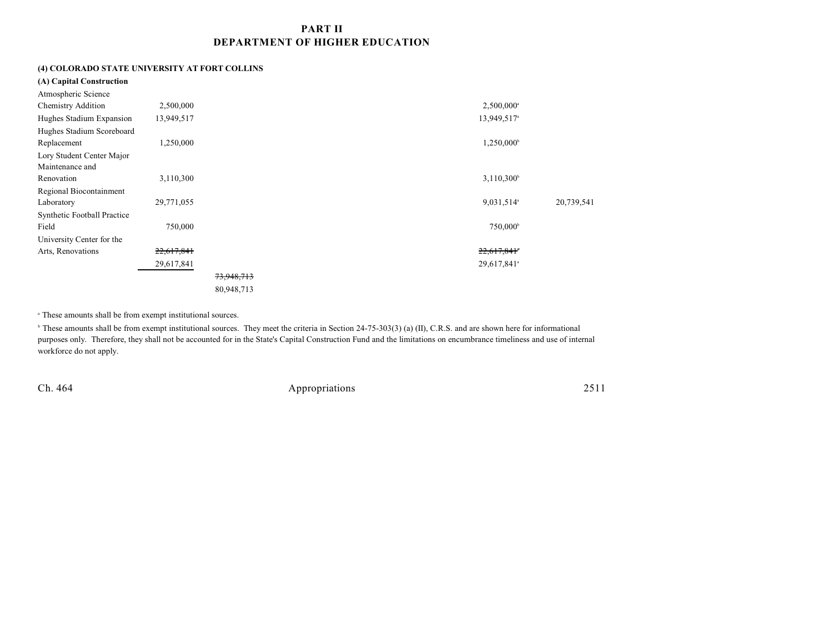### **PART II DEPARTMENT OF HIGHER EDUCATION**

# **(4) COLORADO STATE UNIVERSITY AT FORT COLLINS**

| (A) Capital Construction    |            |            |  |                         |            |
|-----------------------------|------------|------------|--|-------------------------|------------|
| Atmospheric Science         |            |            |  |                         |            |
| <b>Chemistry Addition</b>   | 2,500,000  |            |  | 2,500,000 <sup>a</sup>  |            |
| Hughes Stadium Expansion    | 13,949,517 |            |  | 13,949,517 <sup>a</sup> |            |
| Hughes Stadium Scoreboard   |            |            |  |                         |            |
| Replacement                 | 1,250,000  |            |  | 1,250,000               |            |
| Lory Student Center Major   |            |            |  |                         |            |
| Maintenance and             |            |            |  |                         |            |
| Renovation                  | 3,110,300  |            |  | $3,110,300^{\circ}$     |            |
| Regional Biocontainment     |            |            |  |                         |            |
| Laboratory                  | 29,771,055 |            |  | 9,031,514 <sup>a</sup>  | 20,739,541 |
| Synthetic Football Practice |            |            |  |                         |            |
| Field                       | 750,000    |            |  | 750,000 <sup>b</sup>    |            |
| University Center for the   |            |            |  |                         |            |
| Arts, Renovations           | 22,617,841 |            |  | 22,617,841*             |            |
|                             | 29,617,841 |            |  | 29,617,841 <sup>a</sup> |            |
|                             |            | 73,948,713 |  |                         |            |
|                             |            | 80,948,713 |  |                         |            |

<sup>a</sup> These amounts shall be from exempt institutional sources.

<sup>b</sup> These amounts shall be from exempt institutional sources. They meet the criteria in Section 24-75-303(3) (a) (II), C.R.S. and are shown here for informational purposes only. Therefore, they shall not be accounted for in the State's Capital Construction Fund and the limitations on encumbrance timeliness and use of internal workforce do not apply.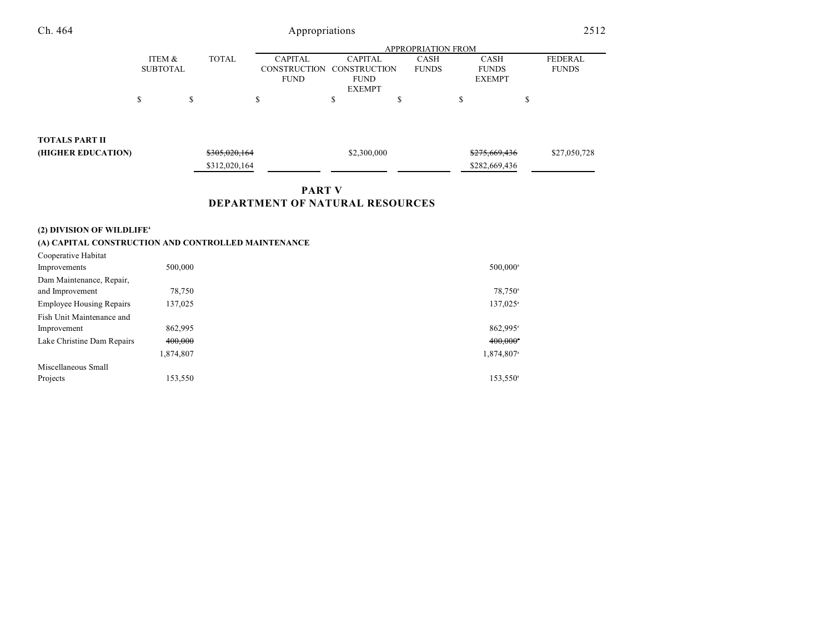|               |              |                |                           | APPROPRIATION FROM |               |                |
|---------------|--------------|----------------|---------------------------|--------------------|---------------|----------------|
| ITEM &        | <b>TOTAL</b> | <b>CAPITAL</b> | CAPITAL                   | CASH               | CASH          | <b>FEDERAL</b> |
| SUBTOTAL      |              |                | CONSTRUCTION CONSTRUCTION | <b>FUNDS</b>       | <b>FUNDS</b>  | <b>FUNDS</b>   |
|               |              | <b>FUND</b>    | <b>FUND</b>               |                    | <b>EXEMPT</b> |                |
| <b>EXEMPT</b> |              |                |                           |                    |               |                |
|               |              |                |                           |                    |               |                |

**TOTALS PART II**

| - - - - - - - - - - - - - - - - |                          |             |                          |              |
|---------------------------------|--------------------------|-------------|--------------------------|--------------|
| (HIGHER EDUCATION)              | <del>\$305,020,164</del> | \$2,300,000 | <del>\$275,669,436</del> | \$27,050,728 |
|                                 | \$312,020,164            |             | \$282,669,436            |              |
|                                 |                          |             |                          |              |

# **PART V**

# **DEPARTMENT OF NATURAL RESOURCES**

### **(2) DIVISION OF WILDLIFE<sup>4</sup>**

### **(A) CAPITAL CONSTRUCTION AND CONTROLLED MAINTENANCE**

| 500,000   | 500,000 <sup>a</sup>   |
|-----------|------------------------|
|           |                        |
| 78,750    | 78,750 <sup>a</sup>    |
| 137,025   | 137,025 <sup>a</sup>   |
|           |                        |
| 862,995   | 862.995 <sup>a</sup>   |
| 400,000   | $400,000$ <sup>*</sup> |
| 1,874,807 | 1,874,807 <sup>a</sup> |
|           |                        |
| 153,550   | 153,550 <sup>a</sup>   |
|           |                        |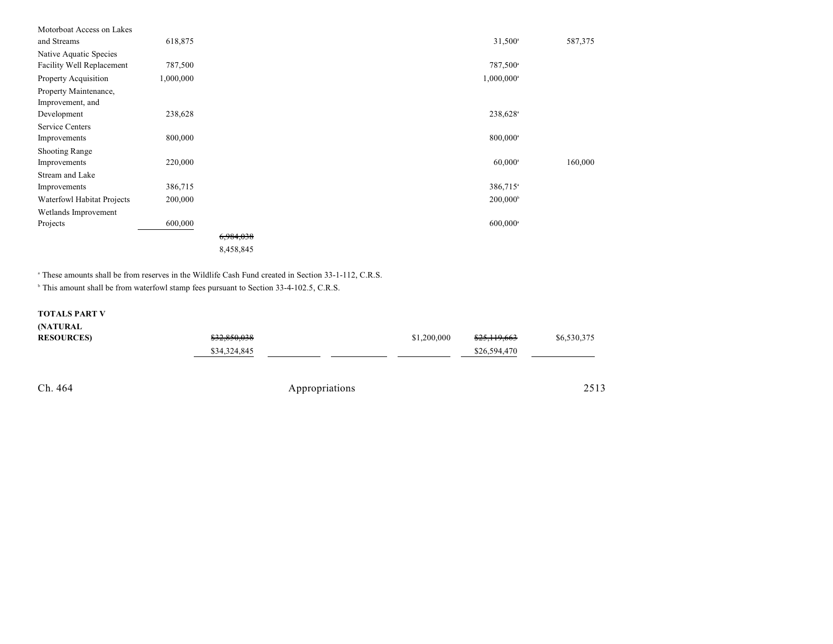| Motorboat Access on Lakes  |           |           |                          |         |
|----------------------------|-----------|-----------|--------------------------|---------|
| and Streams                | 618,875   |           | $31,500^{\circ}$         | 587,375 |
| Native Aquatic Species     |           |           |                          |         |
| Facility Well Replacement  | 787,500   |           | 787,500 <sup>a</sup>     |         |
| Property Acquisition       | 1,000,000 |           | $1,000,000$ <sup>a</sup> |         |
| Property Maintenance,      |           |           |                          |         |
| Improvement, and           |           |           |                          |         |
| Development                | 238,628   |           | 238,628                  |         |
| <b>Service Centers</b>     |           |           |                          |         |
| Improvements               | 800,000   |           | $800,000$ <sup>a</sup>   |         |
| <b>Shooting Range</b>      |           |           |                          |         |
| Improvements               | 220,000   |           | $60,000$ <sup>a</sup>    | 160,000 |
| Stream and Lake            |           |           |                          |         |
| Improvements               | 386,715   |           | 386,715 <sup>a</sup>     |         |
| Waterfowl Habitat Projects | 200,000   |           | $200,000^{\circ}$        |         |
| Wetlands Improvement       |           |           |                          |         |
| Projects                   | 600,000   |           | $600,000$ <sup>a</sup>   |         |
|                            |           | 6,984,038 |                          |         |
|                            |           | 8,458,845 |                          |         |

<sup>a</sup> These amounts shall be from reserves in the Wildlife Cash Fund created in Section 33-1-112, C.R.S.

<sup>b</sup> This amount shall be from waterfowl stamp fees pursuant to Section 33-4-102.5, C.R.S.

### **TOTALS PART V**

#### **(NATURAL**

| <b>RESOURCES</b> | \$32,850,038   | \$1,200,000 | \$25,119,663 | \$6,530,375 |
|------------------|----------------|-------------|--------------|-------------|
|                  | \$34,324,845   |             | \$26,594,470 |             |
|                  |                |             |              |             |
|                  |                |             |              |             |
| Ch. 464          | Appropriations |             |              | 2513        |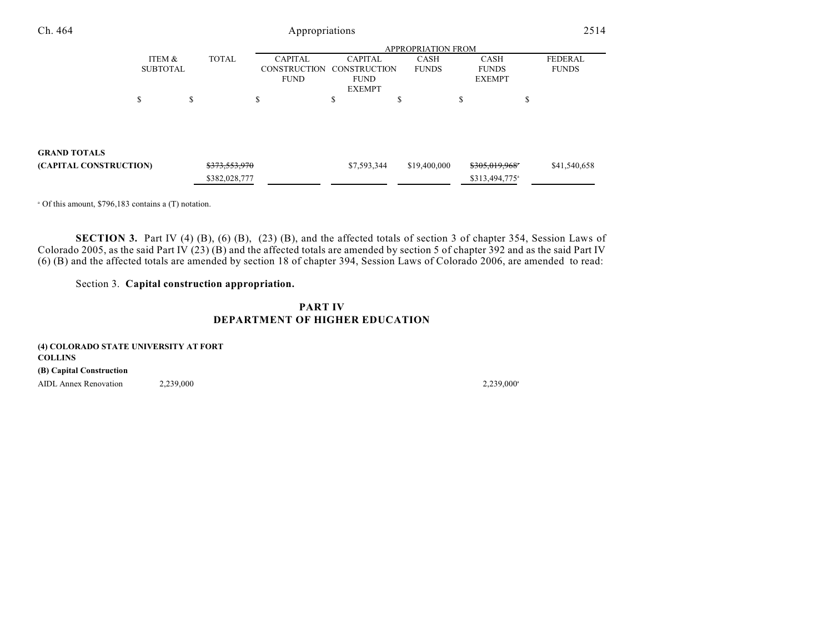| Ch. 464                | Appropriations            |    |               |                     |                |              |                            |    | 2514           |  |
|------------------------|---------------------------|----|---------------|---------------------|----------------|--------------|----------------------------|----|----------------|--|
|                        | <b>APPROPRIATION FROM</b> |    |               |                     |                |              |                            |    |                |  |
|                        | ITEM &                    |    | <b>TOTAL</b>  | <b>CAPITAL</b>      | <b>CAPITAL</b> | <b>CASH</b>  | <b>CASH</b>                |    | <b>FEDERAL</b> |  |
|                        | <b>SUBTOTAL</b>           |    |               | <b>CONSTRUCTION</b> | CONSTRUCTION   | <b>FUNDS</b> | <b>FUNDS</b>               |    | <b>FUNDS</b>   |  |
|                        |                           |    |               | <b>FUND</b>         | <b>FUND</b>    |              | <b>EXEMPT</b>              |    |                |  |
|                        |                           |    |               |                     | <b>EXEMPT</b>  |              |                            |    |                |  |
|                        | ¢<br>ъ                    | \$ |               | S                   | Φ              | ъ            | \$                         | \$ |                |  |
|                        |                           |    |               |                     |                |              |                            |    |                |  |
|                        |                           |    |               |                     |                |              |                            |    |                |  |
| <b>GRAND TOTALS</b>    |                           |    |               |                     |                |              |                            |    |                |  |
| (CAPITAL CONSTRUCTION) |                           |    | \$373,553,970 |                     | \$7,593,344    | \$19,400,000 | \$305,019,968*             |    | \$41,540,658   |  |
|                        |                           |    | \$382,028,777 |                     |                |              | \$313,494,775 <sup>a</sup> |    |                |  |

 $^{\circ}$  Of this amount, \$796,183 contains a (T) notation.

**SECTION 3.** Part IV (4) (B), (6) (B), (23) (B), and the affected totals of section 3 of chapter 354, Session Laws of Colorado 2005, as the said Part IV  $(23)(B)$  and the affected totals are amended by section 5 of chapter 392 and as the said Part IV (6) (B) and the affected totals are amended by section 18 of chapter 394, Session Laws of Colorado 2006, are amended to read:

### Section 3. **Capital construction appropriation.**

# **PART IV DEPARTMENT OF HIGHER EDUCATION**

| (4) COLORADO STATE UNIVERSITY AT FORT |           |           |
|---------------------------------------|-----------|-----------|
| <b>COLLINS</b>                        |           |           |
| (B) Capital Construction              |           |           |
| AIDL Annex Renovation                 | 2.239.000 | 2,239,000 |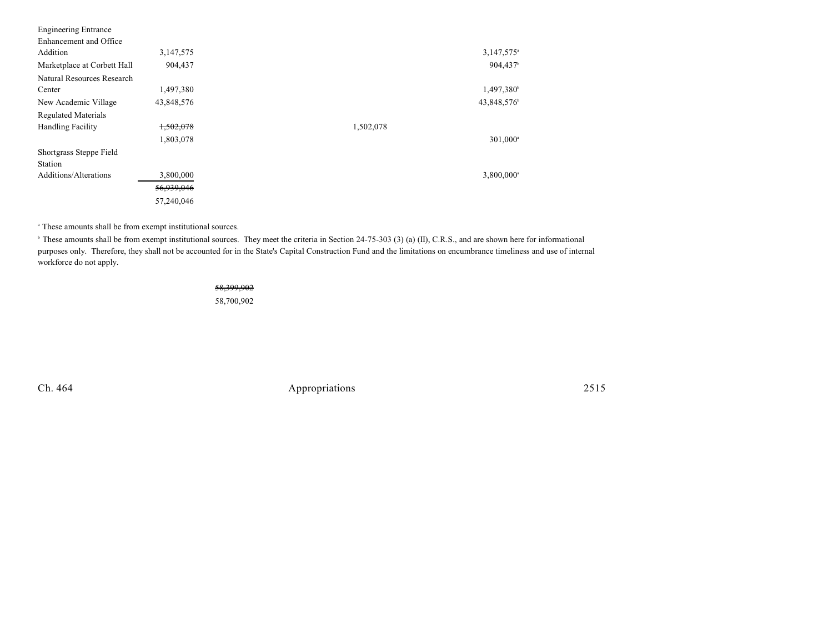| <b>Engineering Entrance</b> |            |           |                        |
|-----------------------------|------------|-----------|------------------------|
| Enhancement and Office      |            |           |                        |
| Addition                    | 3,147,575  |           | 3,147,575 <sup>a</sup> |
| Marketplace at Corbett Hall | 904,437    |           | 904,437 <sup>b</sup>   |
| Natural Resources Research  |            |           |                        |
| Center                      | 1,497,380  |           | 1,497,380 <sup>b</sup> |
| New Academic Village        | 43,848,576 |           | 43,848,576             |
| <b>Regulated Materials</b>  |            |           |                        |
| <b>Handling Facility</b>    | 1,502,078  | 1,502,078 |                        |
|                             | 1,803,078  |           | 301,000 <sup>a</sup>   |
| Shortgrass Steppe Field     |            |           |                        |
| Station                     |            |           |                        |
| Additions/Alterations       | 3,800,000  |           | 3,800,000 <sup>a</sup> |
|                             | 56,939,046 |           |                        |
|                             | 57,240,046 |           |                        |

<sup>a</sup> These amounts shall be from exempt institutional sources.

<sup>b</sup> These amounts shall be from exempt institutional sources. They meet the criteria in Section 24-75-303 (3) (a) (II), C.R.S., and are shown here for informational purposes only. Therefore, they shall not be accounted for in the State's Capital Construction Fund and the limitations on encumbrance timeliness and use of internal workforce do not apply.

#### 58,399,902

58,700,902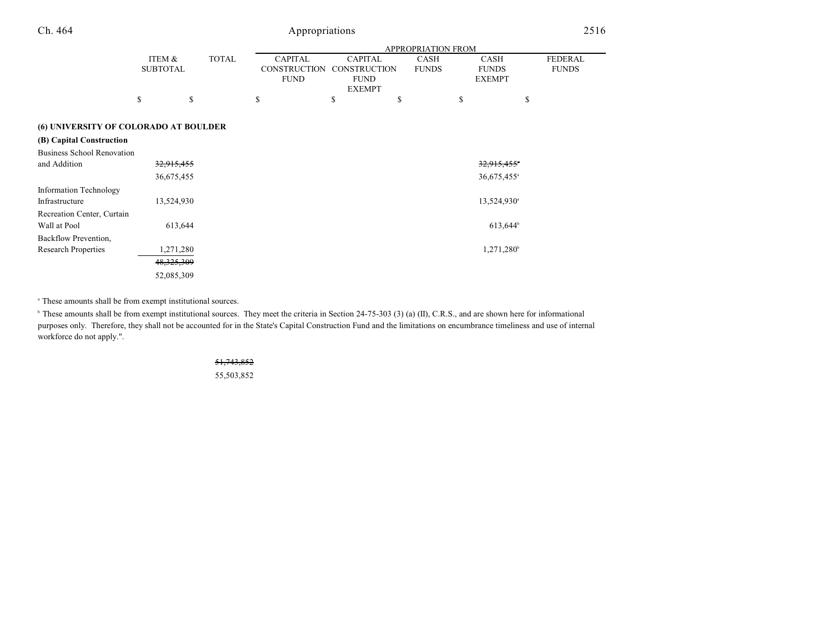|                                       |                           |              |              |                                                      |                                                                       | <b>APPROPRIATION FROM</b>   |                                              |                                |
|---------------------------------------|---------------------------|--------------|--------------|------------------------------------------------------|-----------------------------------------------------------------------|-----------------------------|----------------------------------------------|--------------------------------|
|                                       | ITEM &<br><b>SUBTOTAL</b> |              | <b>TOTAL</b> | <b>CAPITAL</b><br><b>CONSTRUCTION</b><br><b>FUND</b> | <b>CAPITAL</b><br><b>CONSTRUCTION</b><br><b>FUND</b><br><b>EXEMPT</b> | <b>CASH</b><br><b>FUNDS</b> | <b>CASH</b><br><b>FUNDS</b><br><b>EXEMPT</b> | <b>FEDERAL</b><br><b>FUNDS</b> |
|                                       | \$                        | \$           |              | \$                                                   | \$                                                                    | \$                          | \$                                           | \$                             |
| (6) UNIVERSITY OF COLORADO AT BOULDER |                           |              |              |                                                      |                                                                       |                             |                                              |                                |
| (B) Capital Construction              |                           |              |              |                                                      |                                                                       |                             |                                              |                                |
| <b>Business School Renovation</b>     |                           |              |              |                                                      |                                                                       |                             |                                              |                                |
| and Addition                          |                           | 32,915,455   |              |                                                      |                                                                       |                             | 32,915,455*                                  |                                |
|                                       |                           | 36,675,455   |              |                                                      |                                                                       |                             | 36,675,455 <sup>a</sup>                      |                                |
| <b>Information Technology</b>         |                           |              |              |                                                      |                                                                       |                             |                                              |                                |
| Infrastructure                        |                           | 13,524,930   |              |                                                      |                                                                       |                             | 13,524,930 <sup>a</sup>                      |                                |
| Recreation Center, Curtain            |                           |              |              |                                                      |                                                                       |                             |                                              |                                |
| Wall at Pool                          |                           | 613,644      |              |                                                      |                                                                       |                             | 613,644 <sup>b</sup>                         |                                |
| Backflow Prevention,                  |                           |              |              |                                                      |                                                                       |                             |                                              |                                |
| <b>Research Properties</b>            |                           | 1,271,280    |              |                                                      |                                                                       |                             | 1,271,280 <sup>b</sup>                       |                                |
|                                       |                           | 48, 325, 309 |              |                                                      |                                                                       |                             |                                              |                                |
|                                       |                           | 52,085,309   |              |                                                      |                                                                       |                             |                                              |                                |

<sup>a</sup> These amounts shall be from exempt institutional sources.

<sup>b</sup> These amounts shall be from exempt institutional sources. They meet the criteria in Section 24-75-303 (3) (a) (II), C.R.S., and are shown here for informational purposes only. Therefore, they shall not be accounted for in the State's Capital Construction Fund and the limitations on encumbrance timeliness and use of internal workforce do not apply.".

> 51,743,852 55,503,852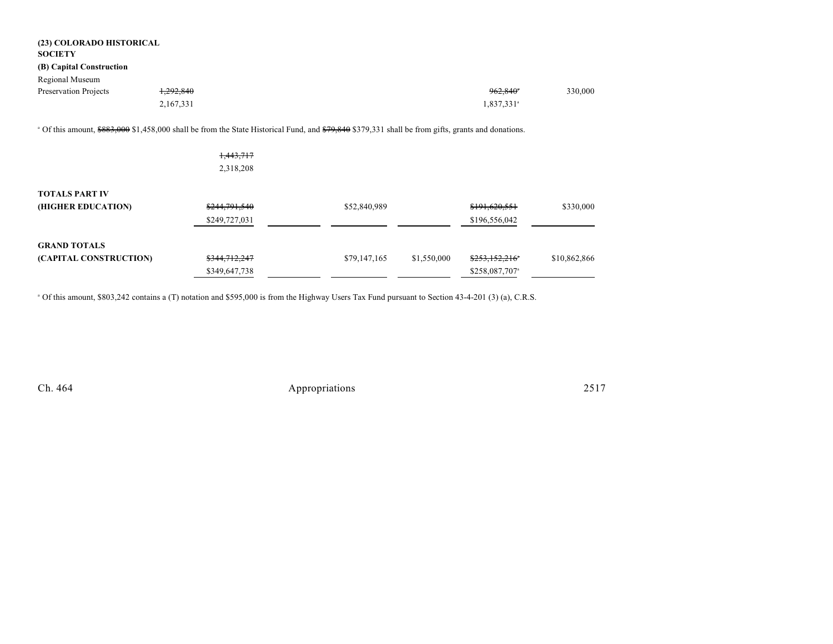| (23) COLORADO HISTORICAL<br><b>SOCIETY</b> |               |                                                                                                                                                               |             |                            |              |
|--------------------------------------------|---------------|---------------------------------------------------------------------------------------------------------------------------------------------------------------|-------------|----------------------------|--------------|
| (B) Capital Construction                   |               |                                                                                                                                                               |             |                            |              |
| Regional Museum                            |               |                                                                                                                                                               |             |                            |              |
| Preservation Projects                      | 1,292,840     |                                                                                                                                                               |             | $962,840$ <sup>*</sup>     | 330,000      |
|                                            | 2,167,331     |                                                                                                                                                               |             | 1,837,331 <sup>a</sup>     |              |
|                                            |               | <sup>o</sup> Of this amount, \$883,000 \$1,458,000 shall be from the State Historical Fund, and \$79,840 \$379,331 shall be from gifts, grants and donations. |             |                            |              |
|                                            | 1,443,717     |                                                                                                                                                               |             |                            |              |
|                                            | 2,318,208     |                                                                                                                                                               |             |                            |              |
| <b>TOTALS PART IV</b>                      |               |                                                                                                                                                               |             |                            |              |
| (HIGHER EDUCATION)                         | \$244,791,540 | \$52,840,989                                                                                                                                                  |             | \$191,620,551              | \$330,000    |
|                                            | \$249,727,031 |                                                                                                                                                               |             | \$196,556,042              |              |
| <b>GRAND TOTALS</b>                        |               |                                                                                                                                                               |             |                            |              |
| (CAPITAL CONSTRUCTION)                     | \$344,712,247 | \$79,147,165                                                                                                                                                  | \$1,550,000 | \$253,152,216              | \$10,862,866 |
|                                            | \$349,647,738 |                                                                                                                                                               |             | \$258,087,707 <sup>a</sup> |              |

Of this amount, \$803,242 contains a (T) notation and \$595,000 is from the Highway Users Tax Fund pursuant to Section 43-4-201 (3) (a), C.R.S. <sup>a</sup>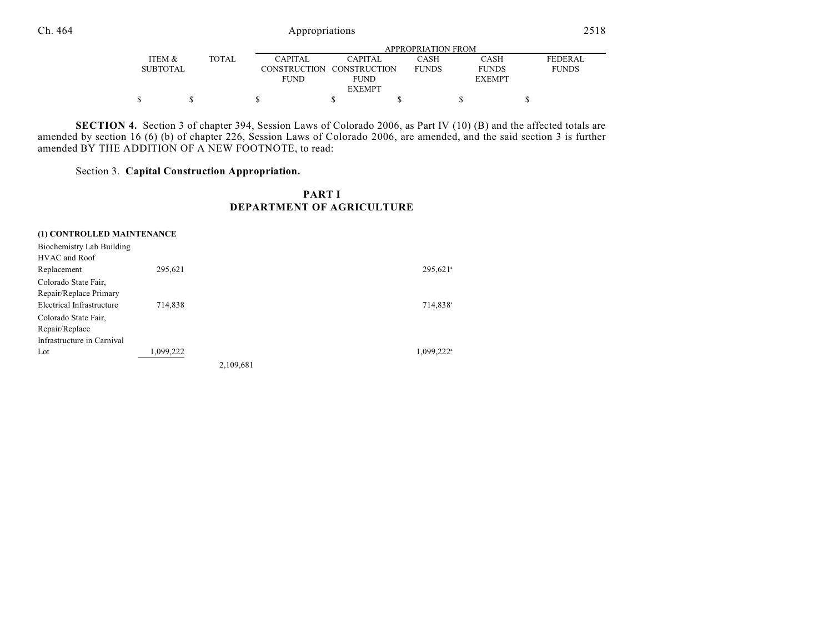|                 |        |                |               | APPROPRIATION FROM |               |              |
|-----------------|--------|----------------|---------------|--------------------|---------------|--------------|
| ITEM &          | TOTAL. | <b>CAPITAL</b> | CAPITAL       | CASH               | <b>CASH</b>   | FEDERAL      |
| <b>SUBTOTAL</b> |        | CONSTRUCTION   | CONSTRUCTION  | <b>FUNDS</b>       | <b>FUNDS</b>  | <b>FUNDS</b> |
|                 |        | <b>FUND</b>    | FUND          |                    | <b>EXEMPT</b> |              |
|                 |        |                | <b>EXEMPT</b> |                    |               |              |
|                 |        |                |               |                    |               |              |

**SECTION 4.** Section 3 of chapter 394, Session Laws of Colorado 2006, as Part IV (10) (B) and the affected totals are amended by section 16 (6) (b) of chapter 226, Session Laws of Colorado 2006, are amended, and the said section 3 is further amended BY THE ADDITION OF A NEW FOOTNOTE, to read:

Section 3. **Capital Construction Appropriation.**

# **PART I DEPARTMENT OF AGRICULTURE**

| (1) CONTROLLED MAINTENANCE |           |           |                        |
|----------------------------|-----------|-----------|------------------------|
| Biochemistry Lab Building  |           |           |                        |
| HVAC and Roof              |           |           |                        |
| Replacement                | 295,621   |           | 295,621 <sup>a</sup>   |
| Colorado State Fair,       |           |           |                        |
| Repair/Replace Primary     |           |           |                        |
| Electrical Infrastructure  | 714.838   |           | 714,838 <sup>a</sup>   |
| Colorado State Fair,       |           |           |                        |
| Repair/Replace             |           |           |                        |
| Infrastructure in Carnival |           |           |                        |
| Lot                        | 1,099,222 |           | 1,099,222 <sup>a</sup> |
|                            |           | 2,109,681 |                        |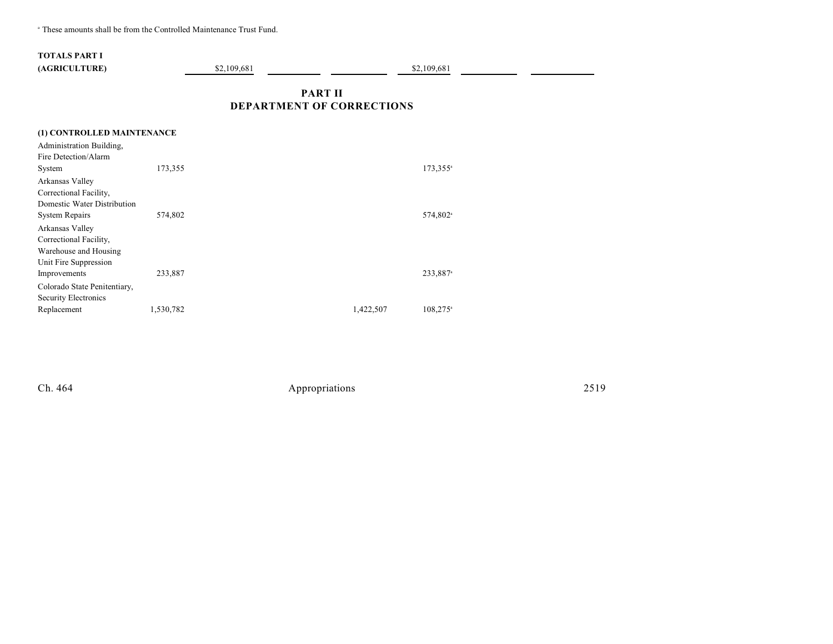<sup>a</sup> These amounts shall be from the Controlled Maintenance Trust Fund.

# **TOTALS PART I (AGRICULTURE)** \$2,109,681 **\$2,109,681 \$2,109,681**

 $\sim$ 

# **PART II DEPARTMENT OF CORRECTIONS**

| (1) CONTROLLED MAINTENANCE   |           |           |                        |
|------------------------------|-----------|-----------|------------------------|
| Administration Building,     |           |           |                        |
| Fire Detection/Alarm         |           |           |                        |
| System                       | 173,355   |           | 173,355 <sup>a</sup>   |
| Arkansas Valley              |           |           |                        |
| Correctional Facility,       |           |           |                        |
| Domestic Water Distribution  |           |           |                        |
| <b>System Repairs</b>        | 574,802   |           | 574,802 <sup>a</sup>   |
| Arkansas Valley              |           |           |                        |
| Correctional Facility,       |           |           |                        |
| Warehouse and Housing        |           |           |                        |
| Unit Fire Suppression        |           |           |                        |
| Improvements                 | 233,887   |           | 233,887 <sup>a</sup>   |
| Colorado State Penitentiary, |           |           |                        |
| Security Electronics         |           |           |                        |
| Replacement                  | 1,530,782 | 1,422,507 | $108,275$ <sup>a</sup> |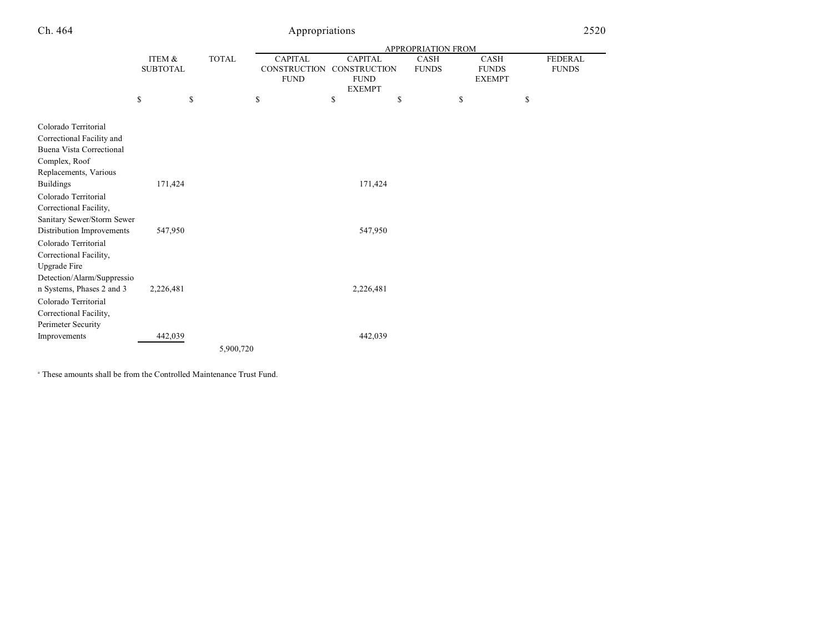|                                                                                                                                |                           |                                                                      |    |                                                                | <b>APPROPRIATION FROM</b>                                                   |    |  |
|--------------------------------------------------------------------------------------------------------------------------------|---------------------------|----------------------------------------------------------------------|----|----------------------------------------------------------------|-----------------------------------------------------------------------------|----|--|
|                                                                                                                                | ITEM &<br><b>SUBTOTAL</b> | <b>TOTAL</b><br><b>CAPITAL</b><br><b>CONSTRUCTION</b><br><b>FUND</b> |    | <b>CAPITAL</b><br>CONSTRUCTION<br><b>FUND</b><br><b>EXEMPT</b> | <b>CASH</b><br><b>CASH</b><br><b>FUNDS</b><br><b>FUNDS</b><br><b>EXEMPT</b> |    |  |
|                                                                                                                                | \$<br>\$                  |                                                                      | \$ | \$<br>\$                                                       | \$                                                                          | \$ |  |
| Colorado Territorial<br>Correctional Facility and<br><b>Buena Vista Correctional</b><br>Complex, Roof<br>Replacements, Various |                           |                                                                      |    |                                                                |                                                                             |    |  |
| <b>Buildings</b>                                                                                                               | 171,424                   |                                                                      |    | 171,424                                                        |                                                                             |    |  |
| Colorado Territorial<br>Correctional Facility,<br>Sanitary Sewer/Storm Sewer<br>Distribution Improvements                      | 547,950                   |                                                                      |    | 547,950                                                        |                                                                             |    |  |
| Colorado Territorial<br>Correctional Facility,<br>Upgrade Fire<br>Detection/Alarm/Suppressio                                   |                           |                                                                      |    |                                                                |                                                                             |    |  |
| n Systems, Phases 2 and 3<br>Colorado Territorial<br>Correctional Facility,<br>Perimeter Security                              | 2,226,481                 |                                                                      |    | 2,226,481                                                      |                                                                             |    |  |
| Improvements                                                                                                                   | 442,039                   |                                                                      |    | 442,039                                                        |                                                                             |    |  |
|                                                                                                                                |                           | 5,900,720                                                            |    |                                                                |                                                                             |    |  |

 $^\circ$  These amounts shall be from the Controlled Maintenance Trust Fund.

FEDERAL FUNDS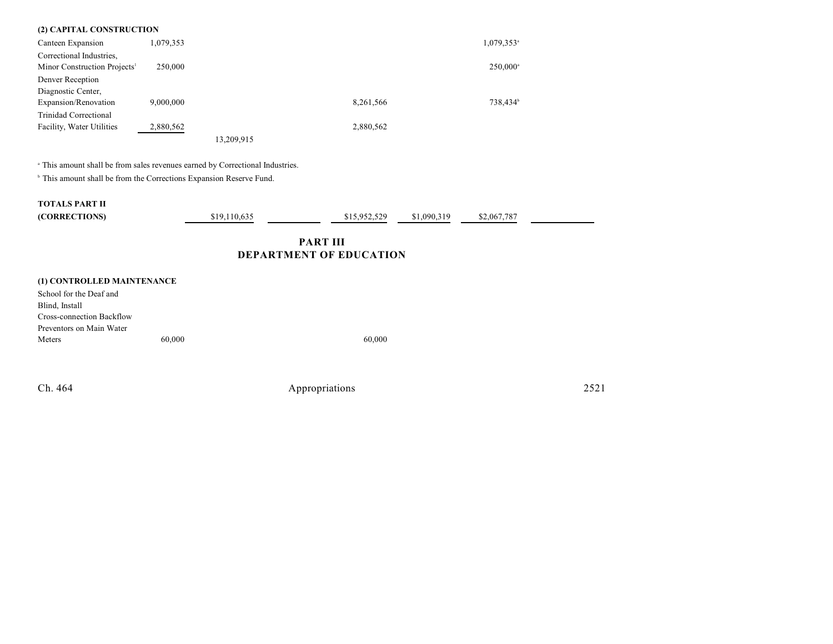| (2) CAPITAL CONSTRUCTION                          |                                                                                                                                                                 |              |  |              |             |                        |  |  |  |
|---------------------------------------------------|-----------------------------------------------------------------------------------------------------------------------------------------------------------------|--------------|--|--------------|-------------|------------------------|--|--|--|
| Canteen Expansion                                 | 1,079,353                                                                                                                                                       |              |  |              |             | 1,079,353 <sup>a</sup> |  |  |  |
| Correctional Industries,                          |                                                                                                                                                                 |              |  |              |             |                        |  |  |  |
| Minor Construction Projects <sup>1</sup>          | 250,000                                                                                                                                                         |              |  |              |             | $250,000^{\circ}$      |  |  |  |
| Denver Reception                                  |                                                                                                                                                                 |              |  |              |             |                        |  |  |  |
| Diagnostic Center,                                |                                                                                                                                                                 |              |  |              |             |                        |  |  |  |
| Expansion/Renovation                              | 9,000,000                                                                                                                                                       |              |  | 8,261,566    |             | 738,434 <sup>b</sup>   |  |  |  |
| <b>Trinidad Correctional</b>                      |                                                                                                                                                                 |              |  |              |             |                        |  |  |  |
| Facility, Water Utilities                         | 2,880,562                                                                                                                                                       |              |  | 2,880,562    |             |                        |  |  |  |
|                                                   |                                                                                                                                                                 | 13,209,915   |  |              |             |                        |  |  |  |
|                                                   | a This amount shall be from sales revenues earned by Correctional Industries.<br><sup>b</sup> This amount shall be from the Corrections Expansion Reserve Fund. |              |  |              |             |                        |  |  |  |
| <b>TOTALS PART II</b>                             |                                                                                                                                                                 |              |  |              |             |                        |  |  |  |
| (CORRECTIONS)                                     |                                                                                                                                                                 | \$19,110,635 |  | \$15,952,529 | \$1,090,319 | \$2,067,787            |  |  |  |
| <b>PART III</b><br><b>DEPARTMENT OF EDUCATION</b> |                                                                                                                                                                 |              |  |              |             |                        |  |  |  |
| (1) CONTROLLED MAINTENANCE                        |                                                                                                                                                                 |              |  |              |             |                        |  |  |  |
| School for the Deaf and                           |                                                                                                                                                                 |              |  |              |             |                        |  |  |  |
|                                                   |                                                                                                                                                                 |              |  |              |             |                        |  |  |  |

| 60,000 | 60.000 |
|--------|--------|
|        |        |

÷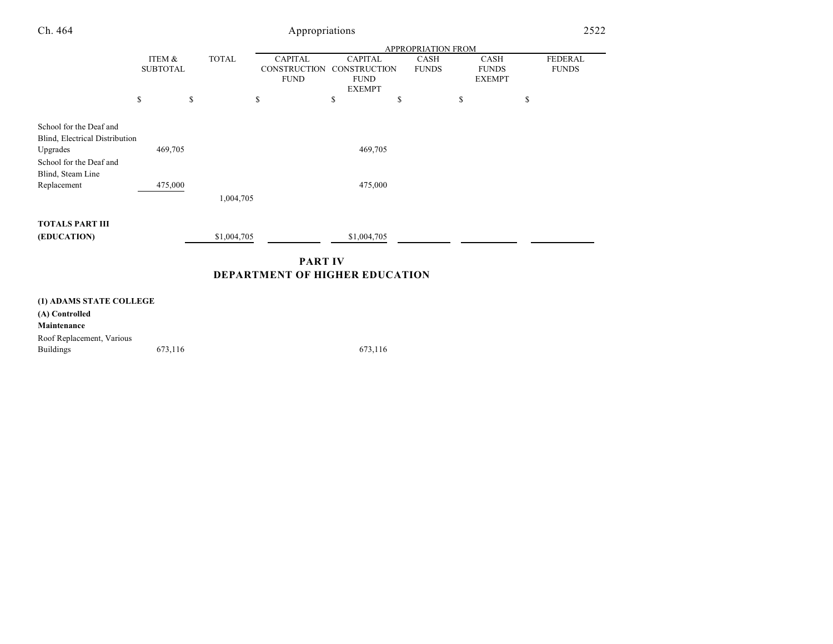| Ch. 464                                                   |                           | Appropriations            |              |                                                      |                                                                       |                             |                                              |                                |  |
|-----------------------------------------------------------|---------------------------|---------------------------|--------------|------------------------------------------------------|-----------------------------------------------------------------------|-----------------------------|----------------------------------------------|--------------------------------|--|
|                                                           |                           | <b>APPROPRIATION FROM</b> |              |                                                      |                                                                       |                             |                                              |                                |  |
|                                                           | ITEM &<br><b>SUBTOTAL</b> |                           | <b>TOTAL</b> | <b>CAPITAL</b><br><b>CONSTRUCTION</b><br><b>FUND</b> | <b>CAPITAL</b><br><b>CONSTRUCTION</b><br><b>FUND</b><br><b>EXEMPT</b> | <b>CASH</b><br><b>FUNDS</b> | <b>CASH</b><br><b>FUNDS</b><br><b>EXEMPT</b> | <b>FEDERAL</b><br><b>FUNDS</b> |  |
|                                                           | \$                        | \$                        |              | \$                                                   | \$                                                                    | \$                          | \$                                           | \$                             |  |
| School for the Deaf and<br>Blind, Electrical Distribution |                           |                           |              |                                                      |                                                                       |                             |                                              |                                |  |
| Upgrades                                                  |                           | 469,705                   |              |                                                      | 469,705                                                               |                             |                                              |                                |  |
| School for the Deaf and<br>Blind, Steam Line              |                           |                           |              |                                                      |                                                                       |                             |                                              |                                |  |
| Replacement                                               |                           | 475,000                   |              |                                                      | 475,000                                                               |                             |                                              |                                |  |
|                                                           |                           |                           | 1,004,705    |                                                      |                                                                       |                             |                                              |                                |  |
| <b>TOTALS PART III</b>                                    |                           |                           |              |                                                      |                                                                       |                             |                                              |                                |  |
| (EDUCATION)                                               |                           |                           | \$1,004,705  |                                                      | \$1,004,705                                                           |                             |                                              |                                |  |
|                                                           |                           |                           |              | <b>PART IV</b>                                       |                                                                       |                             |                                              |                                |  |
|                                                           |                           |                           |              | <b>DEPARTMENT OF HIGHER EDUCATION</b>                |                                                                       |                             |                                              |                                |  |
| (1) ADAMS STATE COLLEGE                                   |                           |                           |              |                                                      |                                                                       |                             |                                              |                                |  |
| (A) Controlled                                            |                           |                           |              |                                                      |                                                                       |                             |                                              |                                |  |

**Maintenance** Roof Replacement, Various

Buildings 673,116 673,116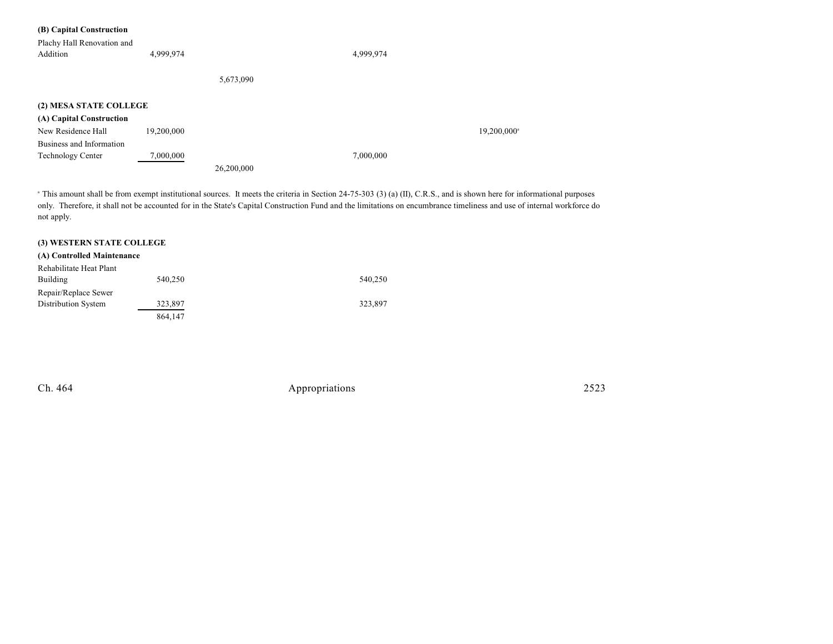### **(B) Capital Construction**

| Plachy Hall Renovation and |            |            |           |            |
|----------------------------|------------|------------|-----------|------------|
| Addition                   | 4,999,974  |            | 4,999,974 |            |
|                            |            |            |           |            |
|                            |            | 5,673,090  |           |            |
|                            |            |            |           |            |
| (2) MESA STATE COLLEGE     |            |            |           |            |
| (A) Capital Construction   |            |            |           |            |
| New Residence Hall         | 19,200,000 |            |           | 19,200,000 |
| Business and Information   |            |            |           |            |
| <b>Technology Center</b>   | 7,000,000  |            | 7,000,000 |            |
|                            |            | 26,200,000 |           |            |

<sup>a</sup> This amount shall be from exempt institutional sources. It meets the criteria in Section 24-75-303 (3) (a) (II), C.R.S., and is shown here for informational purposes only. Therefore, it shall not be accounted for in the State's Capital Construction Fund and the limitations on encumbrance timeliness and use of internal workforce do not apply.

### **(3) WESTERN STATE COLLEGE**

#### **(A) Controlled Maintenance**

| Rehabilitate Heat Plant |         |         |
|-------------------------|---------|---------|
| <b>Building</b>         | 540,250 | 540,250 |
| Repair/Replace Sewer    |         |         |
| Distribution System     | 323,897 | 323.897 |
|                         | 864.147 |         |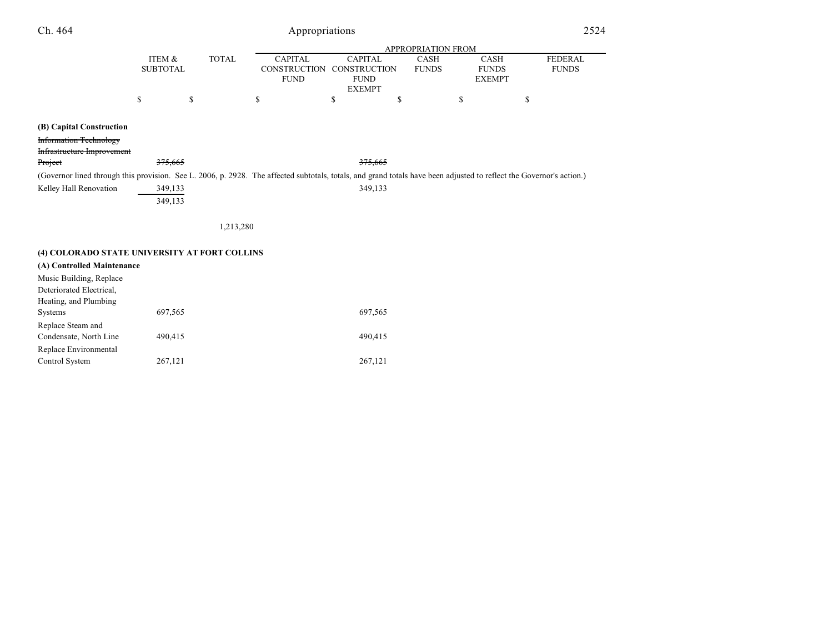# Appropriations

|                                                                                                                                                                      |                           |              |                                                      |                                                                       | <b>APPROPRIATION FROM</b>   |                                              |                         |
|----------------------------------------------------------------------------------------------------------------------------------------------------------------------|---------------------------|--------------|------------------------------------------------------|-----------------------------------------------------------------------|-----------------------------|----------------------------------------------|-------------------------|
|                                                                                                                                                                      | ITEM &<br><b>SUBTOTAL</b> | <b>TOTAL</b> | <b>CAPITAL</b><br><b>CONSTRUCTION</b><br><b>FUND</b> | <b>CAPITAL</b><br><b>CONSTRUCTION</b><br><b>FUND</b><br><b>EXEMPT</b> | <b>CASH</b><br><b>FUNDS</b> | <b>CASH</b><br><b>FUNDS</b><br><b>EXEMPT</b> | FEDERAL<br><b>FUNDS</b> |
|                                                                                                                                                                      | \$                        | \$           | \$                                                   | \$                                                                    | \$                          | S                                            | \$                      |
| (B) Capital Construction<br><b>Information Technology</b><br>Infrastructure Improvement                                                                              |                           |              |                                                      |                                                                       |                             |                                              |                         |
| Project                                                                                                                                                              | 375,665                   |              |                                                      | 375,665                                                               |                             |                                              |                         |
| (Governor lined through this provision. See L. 2006, p. 2928. The affected subtotals, totals, and grand totals have been adjusted to reflect the Governor's action.) |                           |              |                                                      |                                                                       |                             |                                              |                         |
| Kelley Hall Renovation                                                                                                                                               | 349,133<br>349,133        |              |                                                      | 349,133                                                               |                             |                                              |                         |
|                                                                                                                                                                      |                           | 1,213,280    |                                                      |                                                                       |                             |                                              |                         |
| (4) COLORADO STATE UNIVERSITY AT FORT COLLINS                                                                                                                        |                           |              |                                                      |                                                                       |                             |                                              |                         |
| (A) Controlled Maintenance                                                                                                                                           |                           |              |                                                      |                                                                       |                             |                                              |                         |

| A) Controlled Manitchance |         |         |
|---------------------------|---------|---------|
| Music Building, Replace   |         |         |
| Deteriorated Electrical,  |         |         |
| Heating, and Plumbing     |         |         |
| <b>Systems</b>            | 697,565 | 697,565 |
| Replace Steam and         |         |         |
| Condensate, North Line    | 490,415 | 490.415 |
| Replace Environmental     |         |         |
| Control System            | 267,121 | 267,121 |
|                           |         |         |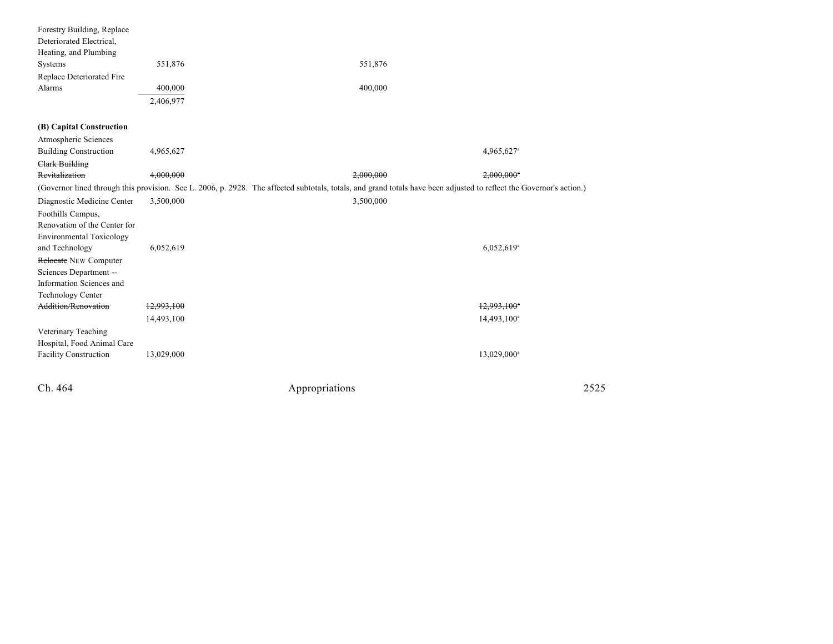| Ch. 464                                                                           |            | Appropriations                                                                                                                                                       | 2525                     |
|-----------------------------------------------------------------------------------|------------|----------------------------------------------------------------------------------------------------------------------------------------------------------------------|--------------------------|
| Veterinary Teaching<br>Hospital, Food Animal Care<br><b>Facility Construction</b> | 13,029,000 |                                                                                                                                                                      | 13,029,000 <sup>a</sup>  |
|                                                                                   | 14,493,100 |                                                                                                                                                                      | 14,493,100 <sup>a</sup>  |
| <b>Addition/Renovation</b>                                                        | 12,993,100 |                                                                                                                                                                      | 12,993,100*              |
| <b>Technology Center</b>                                                          |            |                                                                                                                                                                      |                          |
| Information Sciences and                                                          |            |                                                                                                                                                                      |                          |
| Sciences Department --                                                            |            |                                                                                                                                                                      |                          |
| Relocate NEW Computer                                                             |            |                                                                                                                                                                      |                          |
| and Technology                                                                    | 6,052,619  |                                                                                                                                                                      | $6,052,619$ <sup>a</sup> |
| <b>Environmental Toxicology</b>                                                   |            |                                                                                                                                                                      |                          |
| Renovation of the Center for                                                      |            |                                                                                                                                                                      |                          |
| Foothills Campus,                                                                 |            |                                                                                                                                                                      |                          |
| Diagnostic Medicine Center                                                        | 3,500,000  | 3,500,000                                                                                                                                                            |                          |
|                                                                                   |            | (Governor lined through this provision. See L. 2006, p. 2928. The affected subtotals, totals, and grand totals have been adjusted to reflect the Governor's action.) |                          |
| <b>Clark Building</b><br>Revitalization                                           | 4,000,000  | 2,000,000                                                                                                                                                            | $2,000,000$ <sup>*</sup> |
| <b>Building Construction</b>                                                      | 4,965,627  |                                                                                                                                                                      | 4,965,627 <sup>a</sup>   |
| Atmospheric Sciences                                                              |            |                                                                                                                                                                      |                          |
| (B) Capital Construction                                                          |            |                                                                                                                                                                      |                          |
|                                                                                   |            |                                                                                                                                                                      |                          |
|                                                                                   | 2,406,977  |                                                                                                                                                                      |                          |
| Alarms                                                                            | 400,000    | 400,000                                                                                                                                                              |                          |
| Replace Deteriorated Fire                                                         |            |                                                                                                                                                                      |                          |
| Systems                                                                           | 551,876    | 551,876                                                                                                                                                              |                          |
| Heating, and Plumbing                                                             |            |                                                                                                                                                                      |                          |
| Deteriorated Electrical,                                                          |            |                                                                                                                                                                      |                          |
| Forestry Building, Replace                                                        |            |                                                                                                                                                                      |                          |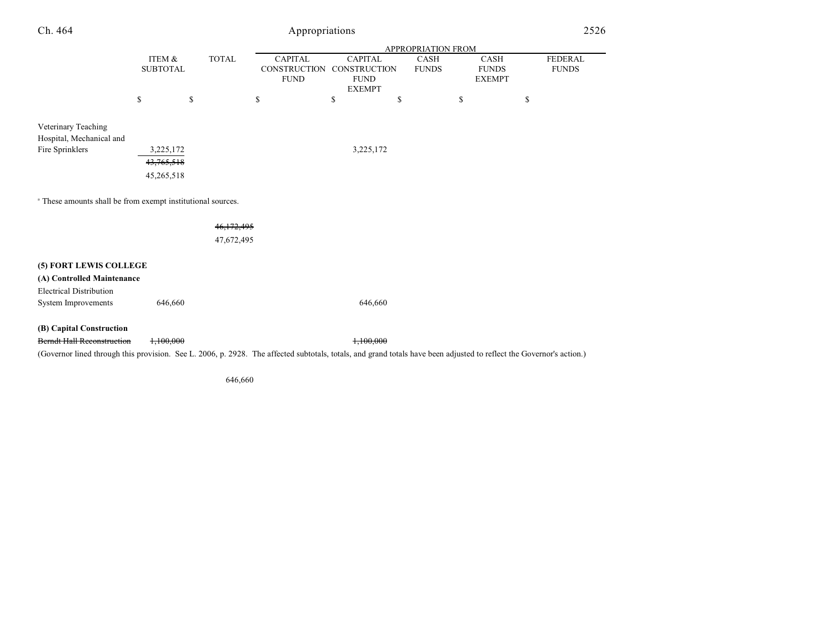| Ch. 464                                                                                                                                                              | Appropriations            |    |              |                                                      |    |                                                                |    |                             |                                              | 2526         |                |
|----------------------------------------------------------------------------------------------------------------------------------------------------------------------|---------------------------|----|--------------|------------------------------------------------------|----|----------------------------------------------------------------|----|-----------------------------|----------------------------------------------|--------------|----------------|
|                                                                                                                                                                      |                           |    |              | APPROPRIATION FROM                                   |    |                                                                |    |                             |                                              |              |                |
|                                                                                                                                                                      | ITEM &<br><b>SUBTOTAL</b> |    | <b>TOTAL</b> | <b>CAPITAL</b><br><b>CONSTRUCTION</b><br><b>FUND</b> |    | <b>CAPITAL</b><br>CONSTRUCTION<br><b>FUND</b><br><b>EXEMPT</b> |    | <b>CASH</b><br><b>FUNDS</b> | <b>CASH</b><br><b>FUNDS</b><br><b>EXEMPT</b> | <b>FUNDS</b> | <b>FEDERAL</b> |
|                                                                                                                                                                      | \$                        | \$ |              | \$                                                   | \$ |                                                                | \$ |                             | \$                                           | \$           |                |
| Veterinary Teaching<br>Hospital, Mechanical and                                                                                                                      |                           |    |              |                                                      |    |                                                                |    |                             |                                              |              |                |
| Fire Sprinklers                                                                                                                                                      | 3,225,172                 |    |              |                                                      |    | 3,225,172                                                      |    |                             |                                              |              |                |
|                                                                                                                                                                      | 43,765,518                |    |              |                                                      |    |                                                                |    |                             |                                              |              |                |
|                                                                                                                                                                      | 45,265,518                |    |              |                                                      |    |                                                                |    |                             |                                              |              |                |
| <sup>a</sup> These amounts shall be from exempt institutional sources.                                                                                               |                           |    |              |                                                      |    |                                                                |    |                             |                                              |              |                |
|                                                                                                                                                                      |                           |    | 46,172,495   |                                                      |    |                                                                |    |                             |                                              |              |                |
|                                                                                                                                                                      |                           |    | 47,672,495   |                                                      |    |                                                                |    |                             |                                              |              |                |
| (5) FORT LEWIS COLLEGE                                                                                                                                               |                           |    |              |                                                      |    |                                                                |    |                             |                                              |              |                |
| (A) Controlled Maintenance                                                                                                                                           |                           |    |              |                                                      |    |                                                                |    |                             |                                              |              |                |
| <b>Electrical Distribution</b>                                                                                                                                       |                           |    |              |                                                      |    |                                                                |    |                             |                                              |              |                |
| System Improvements                                                                                                                                                  | 646,660                   |    |              |                                                      |    | 646,660                                                        |    |                             |                                              |              |                |
| (B) Capital Construction                                                                                                                                             |                           |    |              |                                                      |    |                                                                |    |                             |                                              |              |                |
| <b>Berndt Hall Reconstruction</b>                                                                                                                                    | 1,100,000                 |    |              |                                                      |    | 1,100,000                                                      |    |                             |                                              |              |                |
| (Governor lined through this provision. See L. 2006, p. 2928. The affected subtotals, totals, and grand totals have been adjusted to reflect the Governor's action.) |                           |    |              |                                                      |    |                                                                |    |                             |                                              |              |                |
|                                                                                                                                                                      |                           |    |              |                                                      |    |                                                                |    |                             |                                              |              |                |

646,660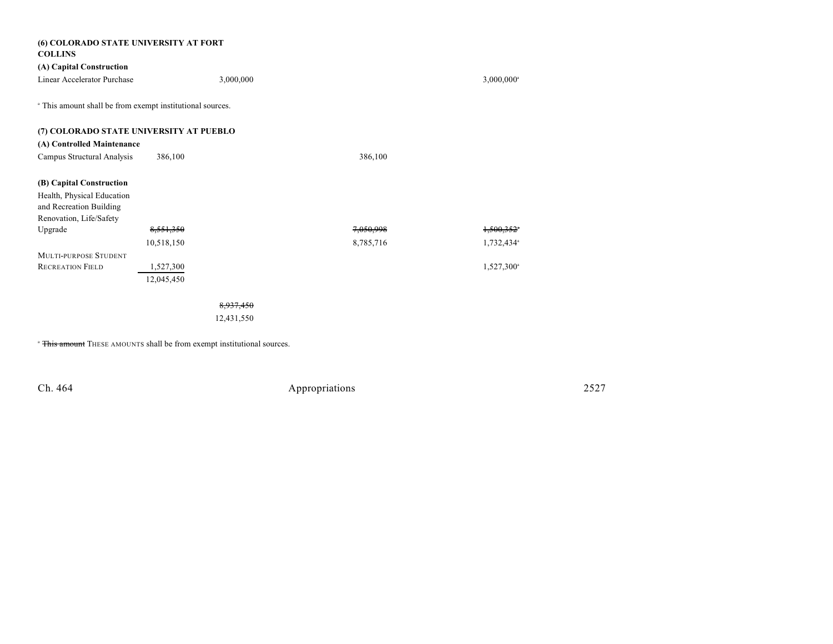| (6) COLORADO STATE UNIVERSITY AT FORT<br><b>COLLINS</b>              |            |           |           |                          |
|----------------------------------------------------------------------|------------|-----------|-----------|--------------------------|
| (A) Capital Construction                                             |            |           |           |                          |
| Linear Accelerator Purchase                                          |            | 3,000,000 |           | $3,000,000$ <sup>a</sup> |
| <sup>a</sup> This amount shall be from exempt institutional sources. |            |           |           |                          |
| (7) COLORADO STATE UNIVERSITY AT PUEBLO                              |            |           |           |                          |
| (A) Controlled Maintenance                                           |            |           |           |                          |
| Campus Structural Analysis                                           | 386,100    |           | 386,100   |                          |
| (B) Capital Construction                                             |            |           |           |                          |
| Health, Physical Education<br>and Recreation Building                |            |           |           |                          |
| Renovation, Life/Safety                                              |            |           |           |                          |
| Upgrade                                                              | 8,551,350  |           | 7,050,998 | 1,500,352*               |
|                                                                      | 10,518,150 |           | 8,785,716 | 1,732,434 <sup>a</sup>   |
| <b>MULTI-PURPOSE STUDENT</b>                                         |            |           |           |                          |
| <b>RECREATION FIELD</b>                                              | 1,527,300  |           |           | 1,527,300 <sup>a</sup>   |
|                                                                      | 12,045,450 |           |           |                          |
|                                                                      |            |           |           |                          |

12,431,550

<sup>a</sup> This amount THESE AMOUNTS shall be from exempt institutional sources.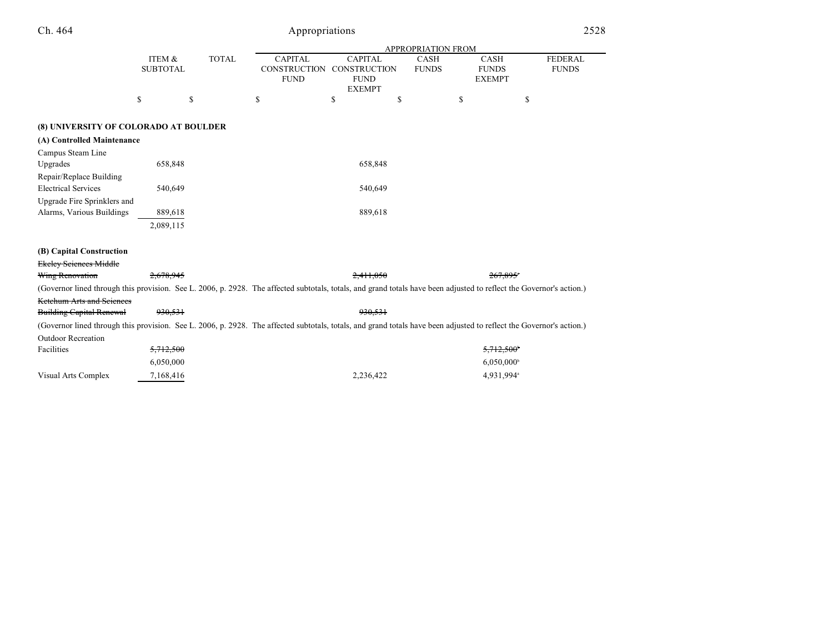|                                                                                                                                                                      |                           |              | <b>APPROPRIATION FROM</b>                            |                                                                |                             |                                              |                                |  |
|----------------------------------------------------------------------------------------------------------------------------------------------------------------------|---------------------------|--------------|------------------------------------------------------|----------------------------------------------------------------|-----------------------------|----------------------------------------------|--------------------------------|--|
|                                                                                                                                                                      | ITEM &<br><b>SUBTOTAL</b> | <b>TOTAL</b> | <b>CAPITAL</b><br><b>CONSTRUCTION</b><br><b>FUND</b> | <b>CAPITAL</b><br>CONSTRUCTION<br><b>FUND</b><br><b>EXEMPT</b> | <b>CASH</b><br><b>FUNDS</b> | <b>CASH</b><br><b>FUNDS</b><br><b>EXEMPT</b> | <b>FEDERAL</b><br><b>FUNDS</b> |  |
|                                                                                                                                                                      | \$<br>\$                  |              | \$                                                   | \$                                                             | \$                          | \$                                           | \$                             |  |
| (8) UNIVERSITY OF COLORADO AT BOULDER                                                                                                                                |                           |              |                                                      |                                                                |                             |                                              |                                |  |
| (A) Controlled Maintenance                                                                                                                                           |                           |              |                                                      |                                                                |                             |                                              |                                |  |
| Campus Steam Line                                                                                                                                                    |                           |              |                                                      |                                                                |                             |                                              |                                |  |
| Upgrades                                                                                                                                                             | 658,848                   |              |                                                      | 658,848                                                        |                             |                                              |                                |  |
| Repair/Replace Building<br><b>Electrical Services</b>                                                                                                                | 540,649                   |              |                                                      | 540,649                                                        |                             |                                              |                                |  |
| Upgrade Fire Sprinklers and                                                                                                                                          |                           |              |                                                      |                                                                |                             |                                              |                                |  |
| Alarms, Various Buildings                                                                                                                                            | 889,618                   |              |                                                      | 889,618                                                        |                             |                                              |                                |  |
|                                                                                                                                                                      | 2,089,115                 |              |                                                      |                                                                |                             |                                              |                                |  |
| (B) Capital Construction                                                                                                                                             |                           |              |                                                      |                                                                |                             |                                              |                                |  |
| <del>Ekeley Seiences Middle</del>                                                                                                                                    |                           |              |                                                      |                                                                |                             |                                              |                                |  |
| Wing Renovation                                                                                                                                                      | 2.678.945                 |              |                                                      | 2.411.050                                                      |                             | $267.895$ <sup>*</sup>                       |                                |  |
| (Governor lined through this provision. See L. 2006, p. 2928. The affected subtotals, totals, and grand totals have been adjusted to reflect the Governor's action.) |                           |              |                                                      |                                                                |                             |                                              |                                |  |
| <del>Ketchum Arts and Seiences</del>                                                                                                                                 |                           |              |                                                      |                                                                |                             |                                              |                                |  |
| <b>Building Capital Renewal</b>                                                                                                                                      | 930,531                   |              |                                                      | 930,531                                                        |                             |                                              |                                |  |
| (Governor lined through this provision. See L. 2006, p. 2928. The affected subtotals, totals, and grand totals have been adjusted to reflect the Governor's action.) |                           |              |                                                      |                                                                |                             |                                              |                                |  |
| <b>Outdoor Recreation</b>                                                                                                                                            |                           |              |                                                      |                                                                |                             |                                              |                                |  |
| Facilities                                                                                                                                                           | 5,712,500                 |              |                                                      |                                                                |                             | $5,712,500$ <sup>*</sup>                     |                                |  |
|                                                                                                                                                                      | 6,050,000                 |              |                                                      |                                                                |                             | $6,050,000$ <sup>b</sup>                     |                                |  |
| Visual Arts Complex                                                                                                                                                  | 7,168,416                 |              |                                                      | 2,236,422                                                      |                             | 4,931,994 <sup>a</sup>                       |                                |  |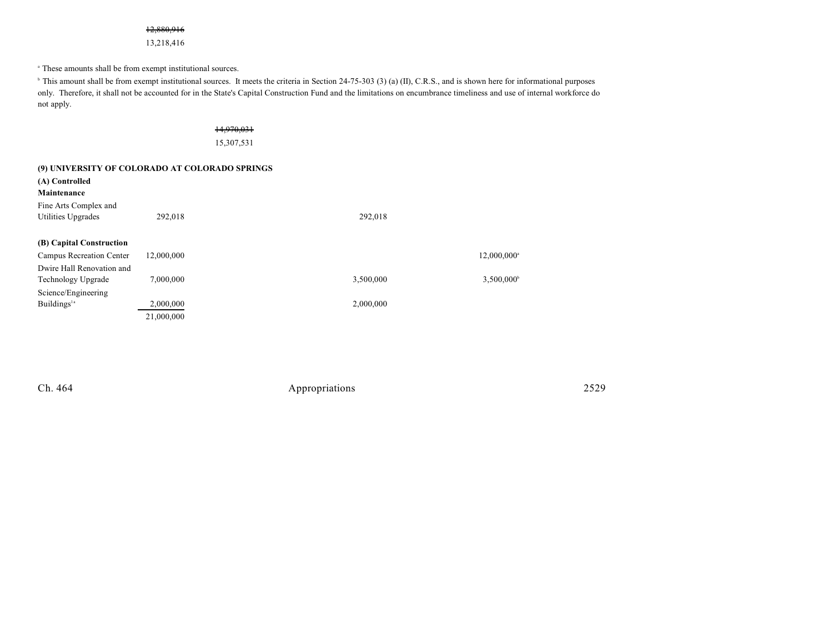### 12,880,916

13,218,416

<sup>a</sup> These amounts shall be from exempt institutional sources.

<sup>b</sup> This amount shall be from exempt institutional sources. It meets the criteria in Section 24-75-303 (3) (a) (II), C.R.S., and is shown here for informational purposes only. Therefore, it shall not be accounted for in the State's Capital Construction Fund and the limitations on encumbrance timeliness and use of internal workforce do not apply.

#### 14,970,031

15,307,531

| (9) UNIVERSITY OF COLORADO AT COLORADO SPRINGS |            |           |                         |  |  |  |  |
|------------------------------------------------|------------|-----------|-------------------------|--|--|--|--|
| (A) Controlled                                 |            |           |                         |  |  |  |  |
| Maintenance                                    |            |           |                         |  |  |  |  |
| Fine Arts Complex and                          |            |           |                         |  |  |  |  |
| Utilities Upgrades                             | 292,018    | 292,018   |                         |  |  |  |  |
| (B) Capital Construction                       |            |           |                         |  |  |  |  |
| Campus Recreation Center                       | 12,000,000 |           | 12,000,000 <sup>a</sup> |  |  |  |  |
| Dwire Hall Renovation and                      |            |           |                         |  |  |  |  |
| <b>Technology Upgrade</b>                      | 7,000,000  | 3,500,000 | 3,500,000 <sup>b</sup>  |  |  |  |  |
| Science/Engineering                            |            |           |                         |  |  |  |  |
| Buildings <sup>1a</sup>                        | 2,000,000  | 2,000,000 |                         |  |  |  |  |
|                                                | 21,000,000 |           |                         |  |  |  |  |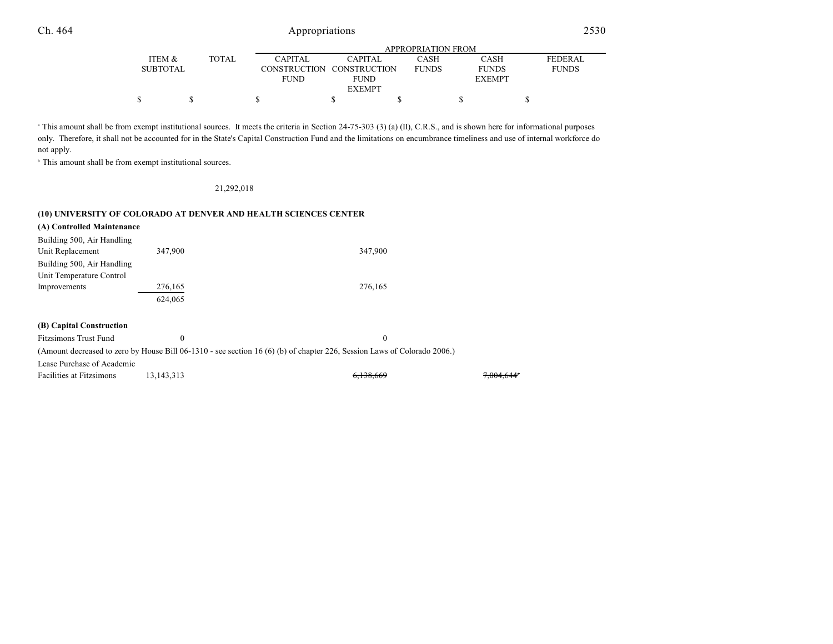|                 |              | APPROPRIATION FROM |                           |              |               |              |  |  |  |
|-----------------|--------------|--------------------|---------------------------|--------------|---------------|--------------|--|--|--|
| ITEM &          | <b>TOTAL</b> | <b>CAPITAL</b>     | CAPITAL                   | CASH         | <b>CASH</b>   | FEDERAL      |  |  |  |
| <b>SUBTOTAL</b> |              |                    | CONSTRUCTION CONSTRUCTION | <b>FUNDS</b> | <b>FUNDS</b>  | <b>FUNDS</b> |  |  |  |
|                 |              | <b>FUND</b>        | FUND                      |              | <b>EXEMPT</b> |              |  |  |  |
|                 |              |                    | <b>EXEMPT</b>             |              |               |              |  |  |  |
|                 |              |                    |                           |              |               |              |  |  |  |

<sup>a</sup> This amount shall be from exempt institutional sources. It meets the criteria in Section 24-75-303 (3) (a) (II), C.R.S., and is shown here for informational purposes only. Therefore, it shall not be accounted for in the State's Capital Construction Fund and the limitations on encumbrance timeliness and use of internal workforce do not apply.

 $\degree$  This amount shall be from exempt institutional sources.

#### 21,292,018

#### **(10) UNIVERSITY OF COLORADO AT DENVER AND HEALTH SCIENCES CENTER**

| (A) Controlled Maintenance   |                  |                  |
|------------------------------|------------------|------------------|
| Building 500, Air Handling   |                  |                  |
| Unit Replacement             | 347,900          | 347,900          |
| Building 500, Air Handling   |                  |                  |
| Unit Temperature Control     |                  |                  |
| Improvements                 | 276,165          | 276,165          |
|                              | 624,065          |                  |
|                              |                  |                  |
| (B) Capital Construction     |                  |                  |
| <b>Fitzsimons Trust Fund</b> | $\boldsymbol{0}$ | $\boldsymbol{0}$ |

(Amount decreased to zero by House Bill 06-1310 - see section 16 (6) (b) of chapter 226, Session Laws of Colorado 2006.)

Lease Purchase of Academic

| Facilities at Fitzsimons<br>13, 143, 313 | 6,138,669 | 7,004,644 |
|------------------------------------------|-----------|-----------|
|------------------------------------------|-----------|-----------|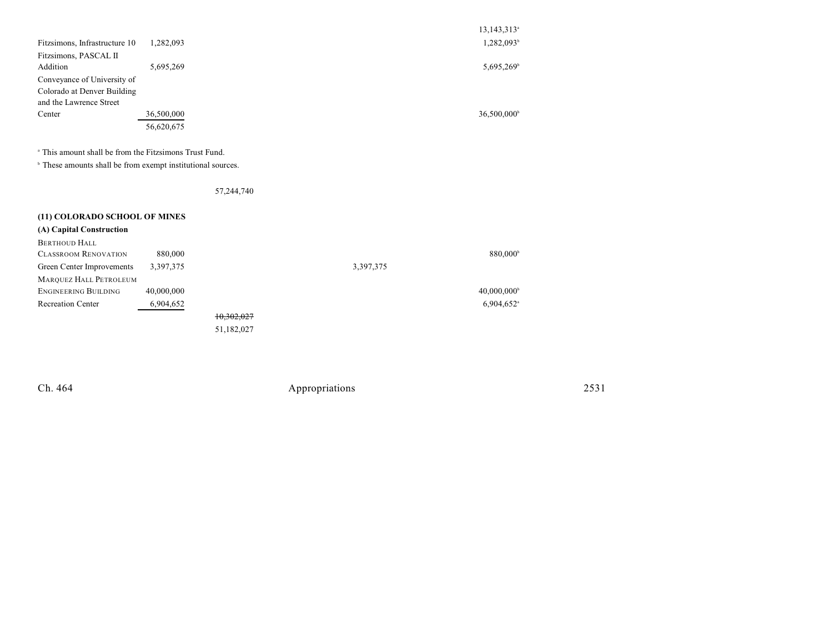| 1,282,093 | 13,143,313 <sup>a</sup><br>1,282,093 <sup>b</sup> |
|-----------|---------------------------------------------------|
|           |                                                   |
|           | 5,695,269 <sup>b</sup>                            |
|           |                                                   |
|           |                                                   |
|           |                                                   |
|           | 36,500,000 <sup>b</sup>                           |
|           |                                                   |
|           |                                                   |
|           | 5,695,269<br>36,500,000<br>56,620,675             |

<sup>a</sup> This amount shall be from the Fitzsimons Trust Fund.

 $\degree$  These amounts shall be from exempt institutional sources.

57,244,740

| (11) COLORADO SCHOOL OF MINES |            |            |           |                           |
|-------------------------------|------------|------------|-----------|---------------------------|
| (A) Capital Construction      |            |            |           |                           |
| <b>BERTHOUD HALL</b>          |            |            |           |                           |
| <b>CLASSROOM RENOVATION</b>   | 880,000    |            |           | 880,000 <sup>b</sup>      |
| Green Center Improvements     | 3,397,375  |            | 3,397,375 |                           |
| MARQUEZ HALL PETROLEUM        |            |            |           |                           |
| ENGINEERING BUILDING          | 40,000,000 |            |           | $40,000,000$ <sup>b</sup> |
| <b>Recreation Center</b>      | 6,904,652  |            |           | $6,904,652$ <sup>a</sup>  |
|                               |            | 10,302,027 |           |                           |
|                               |            | 51,182,027 |           |                           |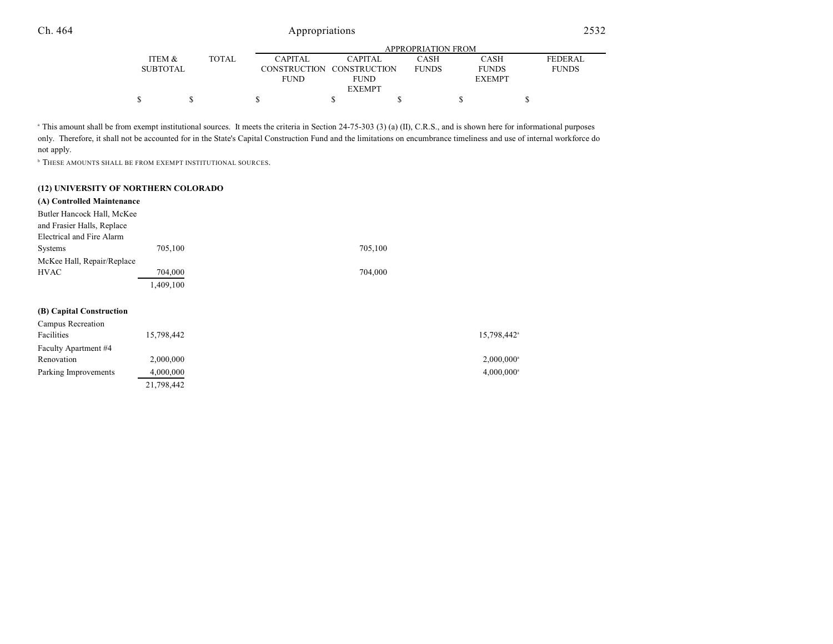|                 |       | APPROPRIATION FROM |                           |              |               |                |  |  |  |
|-----------------|-------|--------------------|---------------------------|--------------|---------------|----------------|--|--|--|
| ITEM &          | TOTAL | <b>CAPITAL</b>     | CAPITAL                   | CASH         | CASH          | <b>FEDERAL</b> |  |  |  |
| <b>SUBTOTAL</b> |       |                    | CONSTRUCTION CONSTRUCTION | <b>FUNDS</b> | <b>FUNDS</b>  | <b>FUNDS</b>   |  |  |  |
|                 |       | <b>FUND</b>        | <b>FUND</b>               |              | <b>EXEMPT</b> |                |  |  |  |
|                 |       |                    | <b>EXEMPT</b>             |              |               |                |  |  |  |
|                 |       |                    |                           |              |               |                |  |  |  |

<sup>a</sup> This amount shall be from exempt institutional sources. It meets the criteria in Section 24-75-303 (3) (a) (II), C.R.S., and is shown here for informational purposes only. Therefore, it shall not be accounted for in the State's Capital Construction Fund and the limitations on encumbrance timeliness and use of internal workforce do not apply.

**THESE AMOUNTS SHALL BE FROM EXEMPT INSTITUTIONAL SOURCES.** 

21,798,442

### **(12) UNIVERSITY OF NORTHERN COLORADO**

| (A) Controlled Maintenance |            |         |            |
|----------------------------|------------|---------|------------|
| Butler Hancock Hall, McKee |            |         |            |
| and Frasier Halls, Replace |            |         |            |
| Electrical and Fire Alarm  |            |         |            |
| <b>Systems</b>             | 705,100    | 705,100 |            |
| McKee Hall, Repair/Replace |            |         |            |
| <b>HVAC</b>                | 704,000    | 704,000 |            |
|                            | 1,409,100  |         |            |
| (B) Capital Construction   |            |         |            |
| Campus Recreation          |            |         |            |
| Facilities                 | 15,798,442 |         | 15,798,442 |
| Faculty Apartment #4       |            |         |            |
| Renovation                 | 2,000,000  |         | 2,000,000  |
| Parking Improvements       | 4,000,000  |         | 4,000,000  |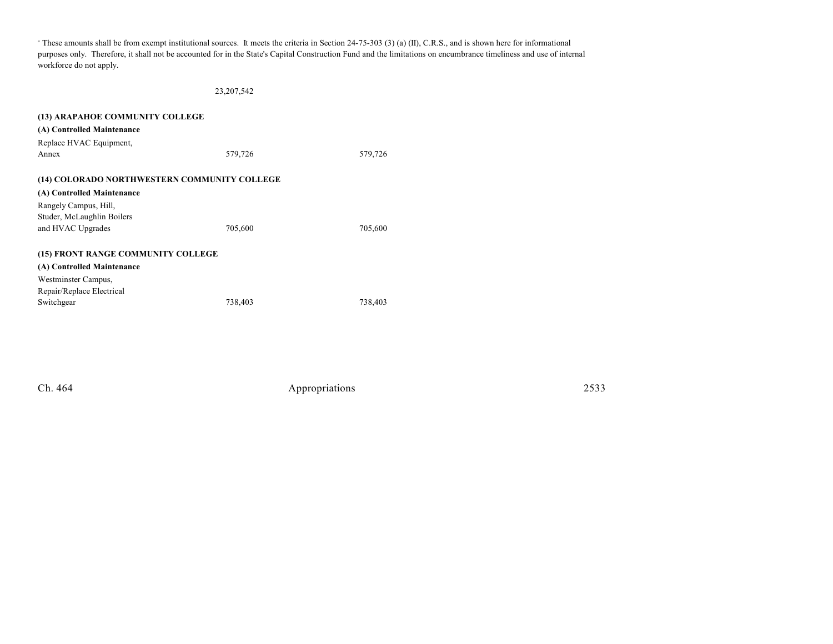<sup>a</sup> These amounts shall be from exempt institutional sources. It meets the criteria in Section 24-75-303 (3) (a) (II), C.R.S., and is shown here for informational purposes only. Therefore, it shall not be accounted for in the State's Capital Construction Fund and the limitations on encumbrance timeliness and use of internal workforce do not apply.

23,207,542

| (13) ARAPAHOE COMMUNITY COLLEGE              |         |         |
|----------------------------------------------|---------|---------|
| (A) Controlled Maintenance                   |         |         |
| Replace HVAC Equipment,                      |         |         |
| Annex                                        | 579,726 | 579,726 |
|                                              |         |         |
| (14) COLORADO NORTHWESTERN COMMUNITY COLLEGE |         |         |
| (A) Controlled Maintenance                   |         |         |
| Rangely Campus, Hill,                        |         |         |
| Studer, McLaughlin Boilers                   |         |         |
| and HVAC Upgrades                            | 705,600 | 705,600 |
|                                              |         |         |
| (15) FRONT RANGE COMMUNITY COLLEGE           |         |         |
| (A) Controlled Maintenance                   |         |         |
| Westminster Campus,                          |         |         |
| Repair/Replace Electrical                    |         |         |
| Switchgear                                   | 738,403 | 738,403 |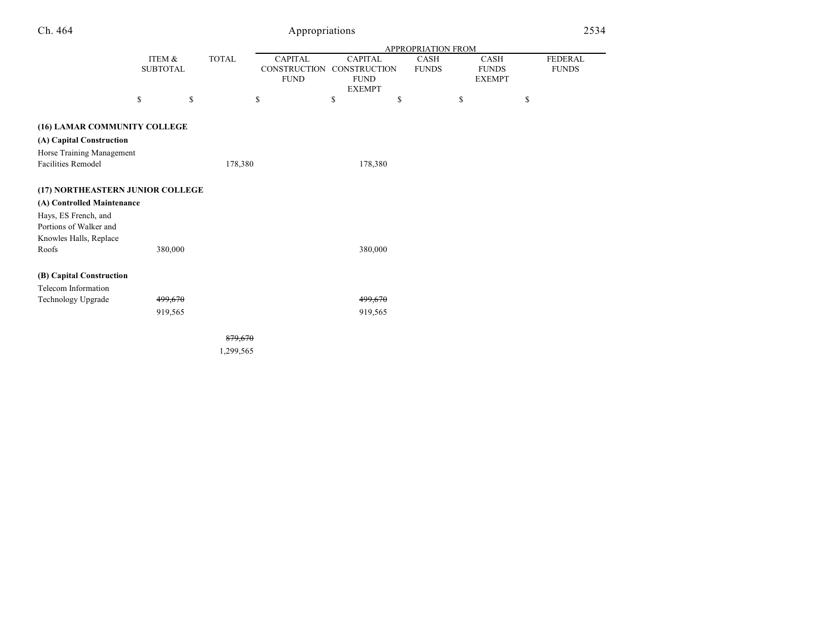|                                                |                           |              |                                                      | APPROPRIATION FROM                                   |                             |                                       |  |  |
|------------------------------------------------|---------------------------|--------------|------------------------------------------------------|------------------------------------------------------|-----------------------------|---------------------------------------|--|--|
|                                                | ITEM &<br><b>SUBTOTAL</b> | <b>TOTAL</b> | <b>CAPITAL</b><br><b>CONSTRUCTION</b><br><b>FUND</b> | <b>CAPITAL</b><br><b>CONSTRUCTION</b><br><b>FUND</b> | <b>CASH</b><br><b>FUNDS</b> | CASH<br><b>FUNDS</b><br><b>EXEMPT</b> |  |  |
|                                                | \$                        | \$           | \$                                                   | <b>EXEMPT</b><br>\$<br>\$                            | \$                          | \$                                    |  |  |
|                                                |                           |              |                                                      |                                                      |                             |                                       |  |  |
| (16) LAMAR COMMUNITY COLLEGE                   |                           |              |                                                      |                                                      |                             |                                       |  |  |
| (A) Capital Construction                       |                           |              |                                                      |                                                      |                             |                                       |  |  |
| Horse Training Management                      |                           |              |                                                      |                                                      |                             |                                       |  |  |
| Facilities Remodel                             |                           | 178,380      |                                                      | 178,380                                              |                             |                                       |  |  |
|                                                |                           |              |                                                      |                                                      |                             |                                       |  |  |
| (17) NORTHEASTERN JUNIOR COLLEGE               |                           |              |                                                      |                                                      |                             |                                       |  |  |
| (A) Controlled Maintenance                     |                           |              |                                                      |                                                      |                             |                                       |  |  |
| Hays, ES French, and<br>Portions of Walker and |                           |              |                                                      |                                                      |                             |                                       |  |  |
| Knowles Halls, Replace                         |                           |              |                                                      |                                                      |                             |                                       |  |  |
| Roofs                                          | 380,000                   |              |                                                      | 380,000                                              |                             |                                       |  |  |
|                                                |                           |              |                                                      |                                                      |                             |                                       |  |  |
| (B) Capital Construction                       |                           |              |                                                      |                                                      |                             |                                       |  |  |
| Telecom Information                            |                           |              |                                                      |                                                      |                             |                                       |  |  |
| Technology Upgrade                             | 499,670                   |              |                                                      | 499,670                                              |                             |                                       |  |  |
|                                                | 919,565                   |              |                                                      | 919,565                                              |                             |                                       |  |  |
|                                                |                           |              |                                                      |                                                      |                             |                                       |  |  |
|                                                |                           | 879,670      |                                                      |                                                      |                             |                                       |  |  |
|                                                |                           | 1,299,565    |                                                      |                                                      |                             |                                       |  |  |

FEDERAL FUNDS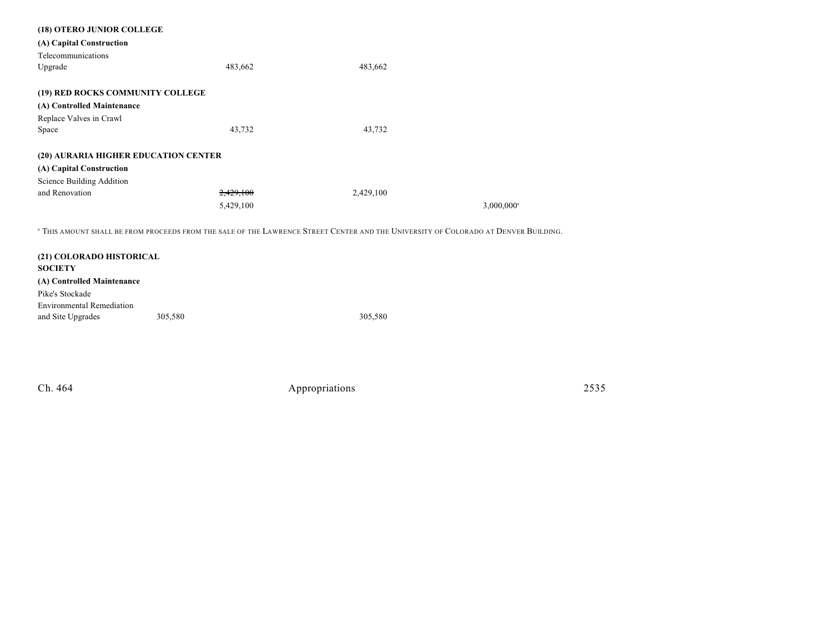| (18) OTERO JUNIOR COLLEGE            |           |           |                          |
|--------------------------------------|-----------|-----------|--------------------------|
| (A) Capital Construction             |           |           |                          |
| Telecommunications                   |           |           |                          |
| Upgrade                              | 483,662   | 483,662   |                          |
|                                      |           |           |                          |
| (19) RED ROCKS COMMUNITY COLLEGE     |           |           |                          |
| (A) Controlled Maintenance           |           |           |                          |
| Replace Valves in Crawl              |           |           |                          |
| Space                                | 43,732    | 43,732    |                          |
|                                      |           |           |                          |
| (20) AURARIA HIGHER EDUCATION CENTER |           |           |                          |
| (A) Capital Construction             |           |           |                          |
| Science Building Addition            |           |           |                          |
| and Renovation                       | 2.429.100 | 2,429,100 |                          |
|                                      | 5,429,100 |           | $3,000,000$ <sup>a</sup> |
|                                      |           |           |                          |

 $\,^{\rm a}$  This amount shall be from proceeds from the sale of the Lawrence Street Center and the University of Colorado at Denver Building.

| (21) COLORADO HISTORICAL<br><b>SOCIETY</b> |         |         |
|--------------------------------------------|---------|---------|
| (A) Controlled Maintenance                 |         |         |
| Pike's Stockade                            |         |         |
| <b>Environmental Remediation</b>           |         |         |
| and Site Upgrades                          | 305,580 | 305,580 |
|                                            |         |         |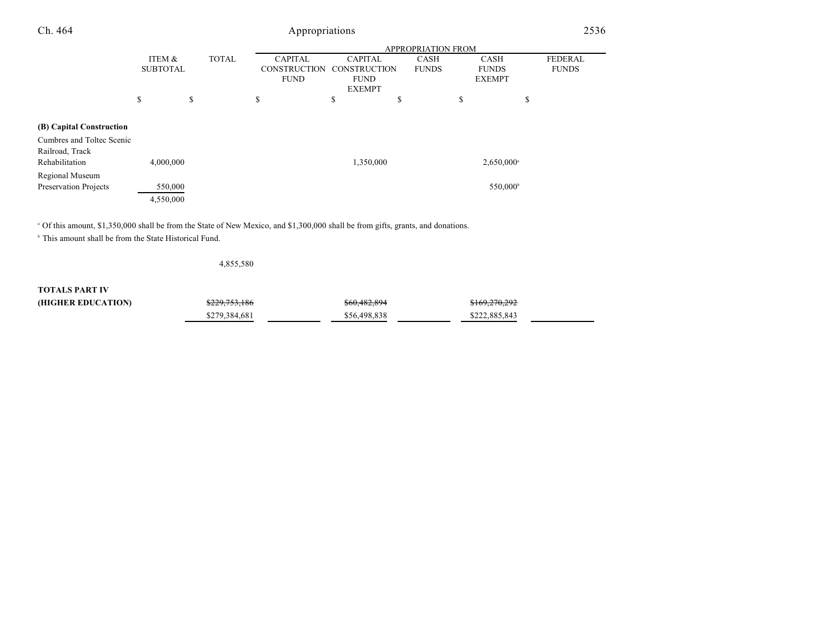| Ch. 464                   | Appropriations            |              |                                       |                                |                             | 2536                        |                                |
|---------------------------|---------------------------|--------------|---------------------------------------|--------------------------------|-----------------------------|-----------------------------|--------------------------------|
|                           | <b>APPROPRIATION FROM</b> |              |                                       |                                |                             |                             |                                |
|                           | ITEM &<br><b>SUBTOTAL</b> | <b>TOTAL</b> | <b>CAPITAL</b><br><b>CONSTRUCTION</b> | <b>CAPITAL</b><br>CONSTRUCTION | <b>CASH</b><br><b>FUNDS</b> | <b>CASH</b><br><b>FUNDS</b> | <b>FEDERAL</b><br><b>FUNDS</b> |
|                           |                           |              | <b>FUND</b>                           | <b>FUND</b>                    |                             | <b>EXEMPT</b>               |                                |
|                           |                           |              |                                       | <b>EXEMPT</b>                  |                             |                             |                                |
|                           | \$                        | \$           | \$                                    | \$                             | \$                          | \$                          | \$                             |
| (B) Capital Construction  |                           |              |                                       |                                |                             |                             |                                |
| Cumbres and Toltec Scenic |                           |              |                                       |                                |                             |                             |                                |
| Railroad, Track           |                           |              |                                       |                                |                             |                             |                                |
| Rehabilitation            | 4,000,000                 |              |                                       | 1,350,000                      |                             | $2,650,000^{\circ}$         |                                |
| Regional Museum           |                           |              |                                       |                                |                             |                             |                                |
| Preservation Projects     | 550,000                   |              |                                       |                                |                             | 550,000 <sup>b</sup>        |                                |
|                           | 4,550,000                 |              |                                       |                                |                             |                             |                                |

<sup>a</sup> Of this amount, \$1,350,000 shall be from the State of New Mexico, and \$1,300,000 shall be from gifts, grants, and donations.

 $\,^{\circ}$  This amount shall be from the State Historical Fund.

4,855,580

**TOTALS PART IV**

| (HIGHER EDUCATION) | <del>\$229,753,186</del> | \$60,482,894 | \$169,270,292 |  |
|--------------------|--------------------------|--------------|---------------|--|
|                    | \$279.384.681            | \$56.498.838 | \$222,885,843 |  |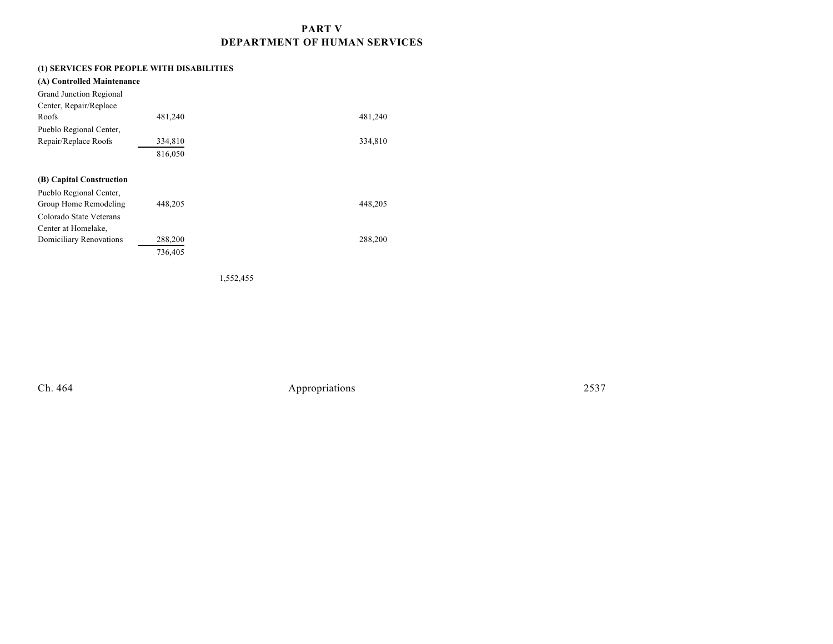# **PART V DEPARTMENT OF HUMAN SERVICES**

# **(1) SERVICES FOR PEOPLE WITH DISABILITIES**

| (A) Controlled Maintenance |         |         |
|----------------------------|---------|---------|
| Grand Junction Regional    |         |         |
| Center, Repair/Replace     |         |         |
| Roofs                      | 481,240 | 481,240 |
| Pueblo Regional Center,    |         |         |
| Repair/Replace Roofs       | 334,810 | 334,810 |
|                            | 816,050 |         |
|                            |         |         |
| (B) Capital Construction   |         |         |
| Pueblo Regional Center,    |         |         |
| Group Home Remodeling      | 448,205 | 448,205 |
| Colorado State Veterans    |         |         |
| Center at Homelake,        |         |         |
| Domiciliary Renovations    | 288,200 | 288,200 |
|                            | 736,405 |         |
|                            |         |         |

1,552,455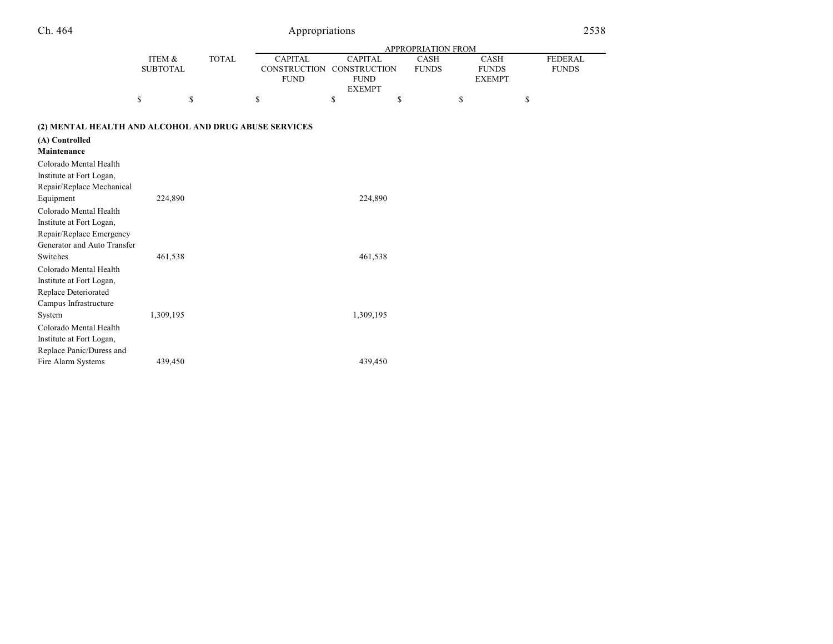| ۱ | 464. |
|---|------|
|   |      |

# Appropriations

|                                                       |                           |              | APPROPRIATION FROM                                   |                                                      |    |                             |    |                                       |                                |
|-------------------------------------------------------|---------------------------|--------------|------------------------------------------------------|------------------------------------------------------|----|-----------------------------|----|---------------------------------------|--------------------------------|
|                                                       | ITEM &<br><b>SUBTOTAL</b> | <b>TOTAL</b> | <b>CAPITAL</b><br><b>CONSTRUCTION</b><br><b>FUND</b> | <b>CAPITAL</b><br><b>CONSTRUCTION</b><br><b>FUND</b> |    | <b>CASH</b><br><b>FUNDS</b> |    | CASH<br><b>FUNDS</b><br><b>EXEMPT</b> | <b>FEDERAL</b><br><b>FUNDS</b> |
|                                                       | \$                        | \$           | \$                                                   | <b>EXEMPT</b><br>\$                                  | \$ |                             | \$ |                                       | \$                             |
| (2) MENTAL HEALTH AND ALCOHOL AND DRUG ABUSE SERVICES |                           |              |                                                      |                                                      |    |                             |    |                                       |                                |
| (A) Controlled<br>Maintenance                         |                           |              |                                                      |                                                      |    |                             |    |                                       |                                |
| Colorado Mental Health                                |                           |              |                                                      |                                                      |    |                             |    |                                       |                                |
| Institute at Fort Logan,                              |                           |              |                                                      |                                                      |    |                             |    |                                       |                                |
| Repair/Replace Mechanical                             |                           |              |                                                      |                                                      |    |                             |    |                                       |                                |
| Equipment                                             | 224,890                   |              |                                                      | 224,890                                              |    |                             |    |                                       |                                |
| Colorado Mental Health                                |                           |              |                                                      |                                                      |    |                             |    |                                       |                                |
| Institute at Fort Logan,                              |                           |              |                                                      |                                                      |    |                             |    |                                       |                                |
| Repair/Replace Emergency                              |                           |              |                                                      |                                                      |    |                             |    |                                       |                                |
| Generator and Auto Transfer                           |                           |              |                                                      |                                                      |    |                             |    |                                       |                                |
| Switches                                              | 461,538                   |              |                                                      | 461,538                                              |    |                             |    |                                       |                                |
| Colorado Mental Health                                |                           |              |                                                      |                                                      |    |                             |    |                                       |                                |
| Institute at Fort Logan,                              |                           |              |                                                      |                                                      |    |                             |    |                                       |                                |
| Replace Deteriorated                                  |                           |              |                                                      |                                                      |    |                             |    |                                       |                                |
| Campus Infrastructure                                 |                           |              |                                                      |                                                      |    |                             |    |                                       |                                |
| System                                                | 1,309,195                 |              |                                                      | 1,309,195                                            |    |                             |    |                                       |                                |
| Colorado Mental Health                                |                           |              |                                                      |                                                      |    |                             |    |                                       |                                |
| Institute at Fort Logan,                              |                           |              |                                                      |                                                      |    |                             |    |                                       |                                |
| Replace Panic/Duress and                              |                           |              |                                                      |                                                      |    |                             |    |                                       |                                |
| Fire Alarm Systems                                    | 439,450                   |              |                                                      | 439,450                                              |    |                             |    |                                       |                                |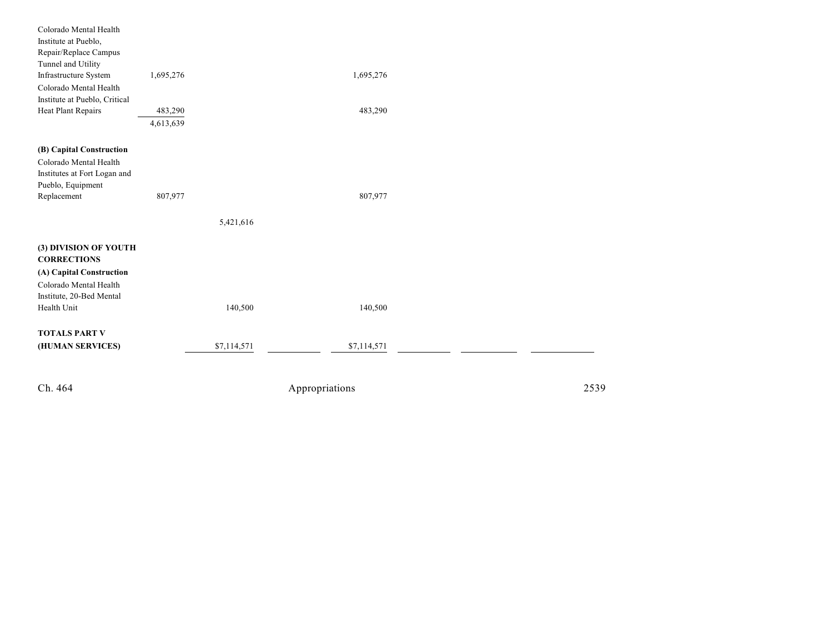| Ch. 464                                                                                                                                      |                      | Appropriations | 2539 |
|----------------------------------------------------------------------------------------------------------------------------------------------|----------------------|----------------|------|
| <b>TOTALS PART V</b><br>(HUMAN SERVICES)                                                                                                     | \$7,114,571          | \$7,114,571    |      |
| (3) DIVISION OF YOUTH<br><b>CORRECTIONS</b><br>(A) Capital Construction<br>Colorado Mental Health<br>Institute, 20-Bed Mental<br>Health Unit | 140,500              | 140,500        |      |
| (B) Capital Construction<br>Colorado Mental Health<br>Institutes at Fort Logan and<br>Pueblo, Equipment<br>Replacement                       | 807,977<br>5,421,616 | 807,977        |      |
| Colorado Mental Health<br>Institute at Pueblo, Critical<br>Heat Plant Repairs                                                                | 483,290<br>4,613,639 | 483,290        |      |
| Colorado Mental Health<br>Institute at Pueblo,<br>Repair/Replace Campus<br>Tunnel and Utility<br>Infrastructure System                       | 1,695,276            | 1,695,276      |      |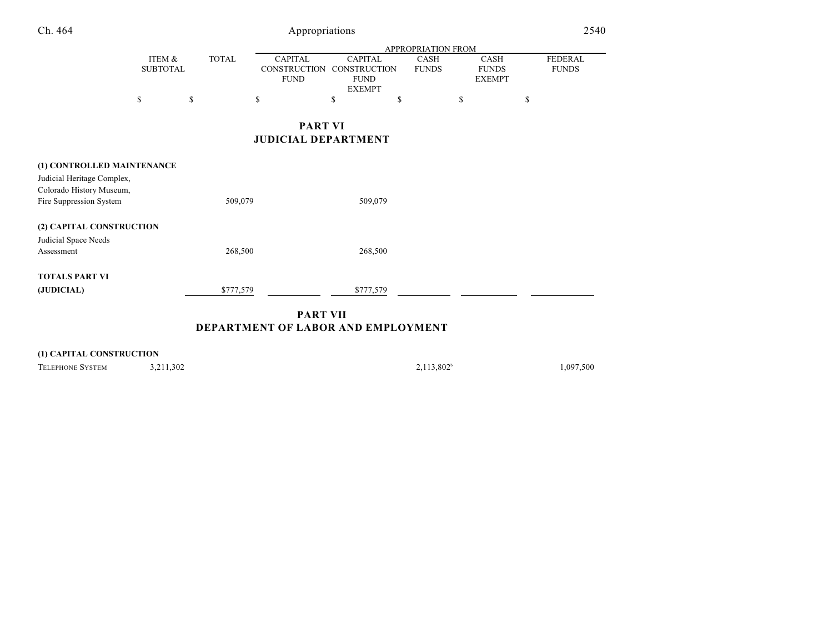| Ch. 464                                                |                           |              | Appropriations                                       |                                                                       |                           |                                              | 2540                           |
|--------------------------------------------------------|---------------------------|--------------|------------------------------------------------------|-----------------------------------------------------------------------|---------------------------|----------------------------------------------|--------------------------------|
|                                                        |                           |              |                                                      |                                                                       | <b>APPROPRIATION FROM</b> |                                              |                                |
|                                                        | ITEM &<br><b>SUBTOTAL</b> | <b>TOTAL</b> | <b>CAPITAL</b><br><b>CONSTRUCTION</b><br><b>FUND</b> | <b>CAPITAL</b><br><b>CONSTRUCTION</b><br><b>FUND</b><br><b>EXEMPT</b> | CASH<br><b>FUNDS</b>      | <b>CASH</b><br><b>FUNDS</b><br><b>EXEMPT</b> | <b>FEDERAL</b><br><b>FUNDS</b> |
|                                                        | \$                        | \$           | \$                                                   | \$                                                                    | \$                        | \$                                           | \$                             |
|                                                        |                           |              | <b>PART VI</b>                                       |                                                                       |                           |                                              |                                |
|                                                        |                           |              | <b>JUDICIAL DEPARTMENT</b>                           |                                                                       |                           |                                              |                                |
| (1) CONTROLLED MAINTENANCE                             |                           |              |                                                      |                                                                       |                           |                                              |                                |
| Judicial Heritage Complex,<br>Colorado History Museum, |                           |              |                                                      |                                                                       |                           |                                              |                                |
| Fire Suppression System                                |                           | 509,079      |                                                      | 509,079                                                               |                           |                                              |                                |
| (2) CAPITAL CONSTRUCTION                               |                           |              |                                                      |                                                                       |                           |                                              |                                |
| Judicial Space Needs<br>Assessment                     |                           | 268,500      |                                                      | 268,500                                                               |                           |                                              |                                |
| <b>TOTALS PART VI</b>                                  |                           |              |                                                      |                                                                       |                           |                                              |                                |
| (JUDICIAL)                                             |                           | \$777,579    |                                                      | \$777,579                                                             |                           |                                              |                                |

**PART VII DEPARTMENT OF LABOR AND EMPLOYMENT**

| (1) CAPITAL CONSTRUCTION |           |               |           |  |  |
|--------------------------|-----------|---------------|-----------|--|--|
| <b>TELEPHONE SYSTEM</b>  | 3,211,302 | $2,113,802^b$ | 1.097.500 |  |  |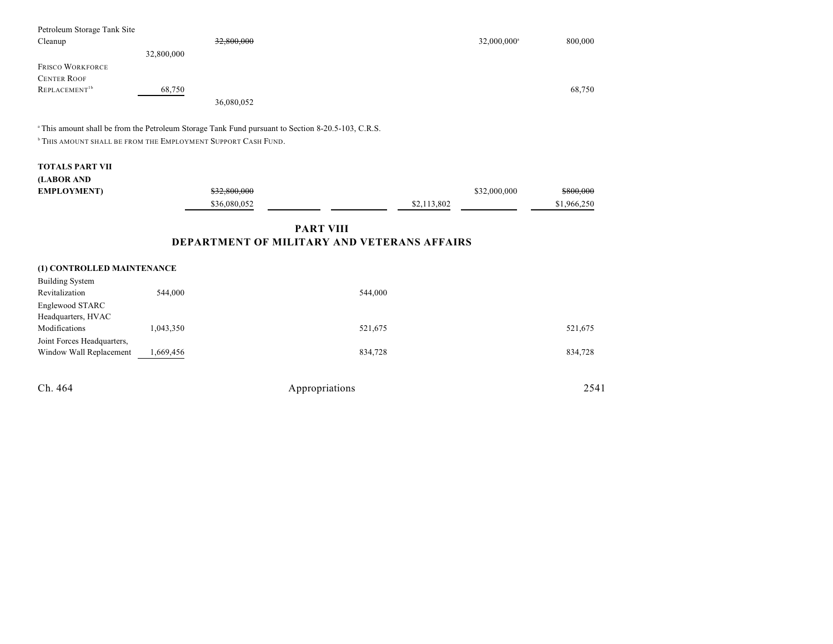| Petroleum Storage Tank Site<br>Cleanup |            | 32,800,000 | $32,000,000$ <sup>a</sup> | 800,000 |
|----------------------------------------|------------|------------|---------------------------|---------|
|                                        | 32,800,000 |            |                           |         |
| <b>FRISCO WORKFORCE</b>                |            |            |                           |         |
| <b>CENTER ROOF</b>                     |            |            |                           |         |
| REPLACEMENT <sup>1b</sup>              | 68,750     |            |                           | 68,750  |
|                                        |            | 36,080,052 |                           |         |

<sup>a</sup> This amount shall be from the Petroleum Storage Tank Fund pursuant to Section 8-20.5-103, C.R.S.

**THIS AMOUNT SHALL BE FROM THE EMPLOYMENT SUPPORT CASH FUND.** 

# **TOTALS PART VII (LABOR AND**

| (LADUK AND         |                         |             |              |             |
|--------------------|-------------------------|-------------|--------------|-------------|
| <b>EMPLOYMENT)</b> | <del>\$32.800.000</del> |             | \$32,000,000 | \$800,000   |
|                    | \$36,080,052            | \$2.113.802 |              | \$1,966,250 |
|                    |                         |             |              |             |

# **PART VIII DEPARTMENT OF MILITARY AND VETERANS AFFAIRS**

### **(1) CONTROLLED MAINTENANCE**

| <b>Building System</b>     |           |         |         |
|----------------------------|-----------|---------|---------|
| Revitalization             | 544,000   | 544,000 |         |
| Englewood STARC            |           |         |         |
| Headquarters, HVAC         |           |         |         |
| Modifications              | 1,043,350 | 521,675 | 521,675 |
| Joint Forces Headquarters, |           |         |         |
| Window Wall Replacement    | 1,669,456 | 834,728 | 834,728 |
|                            |           |         |         |
|                            |           |         |         |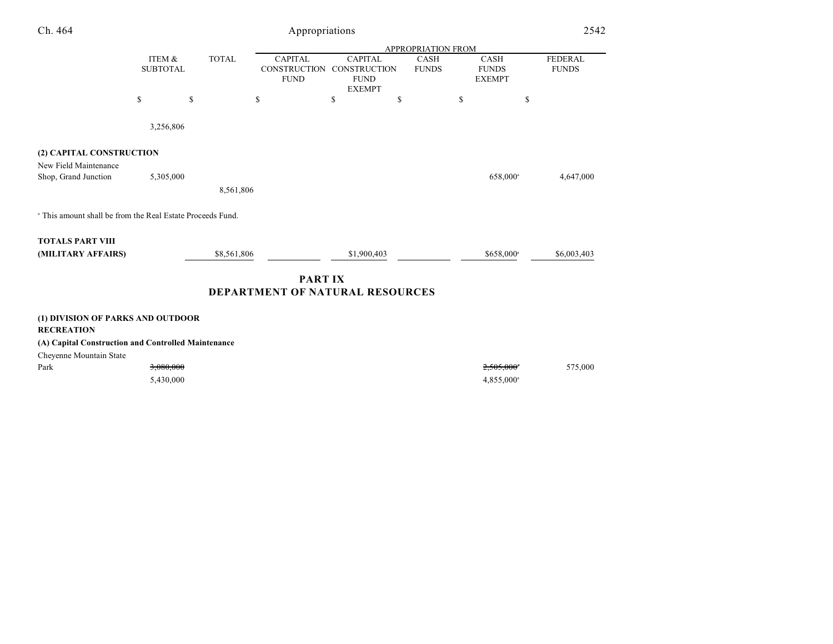| Ch. 464                                                               | Appropriations            |              |                                                      |                                                      |    |                                                          |                                              | 2542                           |
|-----------------------------------------------------------------------|---------------------------|--------------|------------------------------------------------------|------------------------------------------------------|----|----------------------------------------------------------|----------------------------------------------|--------------------------------|
|                                                                       | ITEM &<br><b>SUBTOTAL</b> | <b>TOTAL</b> | <b>CAPITAL</b><br><b>CONSTRUCTION</b><br><b>FUND</b> | <b>CAPITAL</b><br><b>CONSTRUCTION</b><br><b>FUND</b> |    | <b>APPROPRIATION FROM</b><br><b>CASH</b><br><b>FUNDS</b> | <b>CASH</b><br><b>FUNDS</b><br><b>EXEMPT</b> | <b>FEDERAL</b><br><b>FUNDS</b> |
|                                                                       | \$                        | \$           | \$                                                   | <b>EXEMPT</b><br>\$                                  | \$ | \$                                                       | \$                                           |                                |
|                                                                       | 3,256,806                 |              |                                                      |                                                      |    |                                                          |                                              |                                |
| (2) CAPITAL CONSTRUCTION<br>New Field Maintenance                     |                           |              |                                                      |                                                      |    |                                                          |                                              |                                |
| Shop, Grand Junction                                                  | 5,305,000                 | 8,561,806    |                                                      |                                                      |    |                                                          | 658,000 <sup>a</sup>                         | 4,647,000                      |
| <sup>a</sup> This amount shall be from the Real Estate Proceeds Fund. |                           |              |                                                      |                                                      |    |                                                          |                                              |                                |
| <b>TOTALS PART VIII</b><br>(MILITARY AFFAIRS)                         |                           | \$8,561,806  |                                                      | \$1,900,403                                          |    |                                                          | \$658,000 <sup>a</sup>                       | \$6,003,403                    |
| <b>PARTIX</b><br>DEPARTMENT OF NATURAL RESOURCES                      |                           |              |                                                      |                                                      |    |                                                          |                                              |                                |
| (1) DIVISION OF PARKS AND OUTDOOR<br><b>RECREATION</b>                |                           |              |                                                      |                                                      |    |                                                          |                                              |                                |
| (A) Capital Construction and Controlled Maintenance                   |                           |              |                                                      |                                                      |    |                                                          |                                              |                                |

Cheyenne Mountain State

| Park<br>the contract of the contract of the | <del>3,080,000</del> | 2,505,000°          | 575,000 |
|---------------------------------------------|----------------------|---------------------|---------|
|                                             | 5.430.000            | $4,855,000^{\circ}$ |         |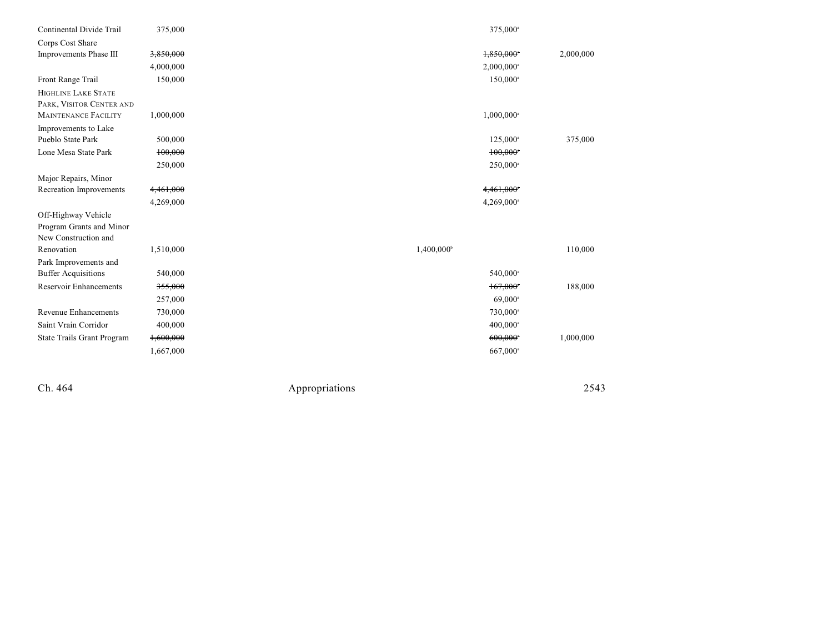| Continental Divide Trail      | 375,000   | 375,000 <sup>a</sup>   |           |
|-------------------------------|-----------|------------------------|-----------|
| Corps Cost Share              |           |                        |           |
| Improvements Phase III        | 3,850,000 | 1,850,000              | 2,000,000 |
|                               | 4,000,000 | 2,000,000 <sup>a</sup> |           |
| Front Range Trail             | 150,000   | 150,000 <sup>a</sup>   |           |
| HIGHLINE LAKE STATE           |           |                        |           |
| PARK, VISITOR CENTER AND      |           |                        |           |
| <b>MAINTENANCE FACILITY</b>   | 1,000,000 | 1,000,000 <sup>a</sup> |           |
| Improvements to Lake          |           |                        |           |
| Pueblo State Park             | 500,000   | 125,000 <sup>a</sup>   | 375,000   |
| Lone Mesa State Park          | 100,000   | 100,000                |           |
|                               | 250,000   | 250,000 <sup>a</sup>   |           |
| Major Repairs, Minor          |           |                        |           |
| Recreation Improvements       | 4,461,000 | 4,461,000*             |           |
|                               | 4,269,000 | 4,269,000 <sup>a</sup> |           |
| Off-Highway Vehicle           |           |                        |           |
| Program Grants and Minor      |           |                        |           |
| New Construction and          |           |                        |           |
| Renovation                    | 1,510,000 | $1,400,000^{\circ}$    | 110,000   |
| Park Improvements and         |           |                        |           |
| <b>Buffer Acquisitions</b>    | 540,000   | 540,000 <sup>a</sup>   |           |
| <b>Reservoir Enhancements</b> | 355,000   | 167,000*               | 188,000   |
|                               | 257,000   | $69,000^{\circ}$       |           |
| <b>Revenue Enhancements</b>   | 730,000   | 730,000 <sup>a</sup>   |           |
| Saint Vrain Corridor          | 400,000   | $400,000^{\circ}$      |           |
| State Trails Grant Program    | 1,600,000 | 600,000                | 1,000,000 |
|                               | 1,667,000 | 667,000 <sup>a</sup>   |           |
|                               |           |                        |           |

Ch. 464

Appropr iat

ions 2543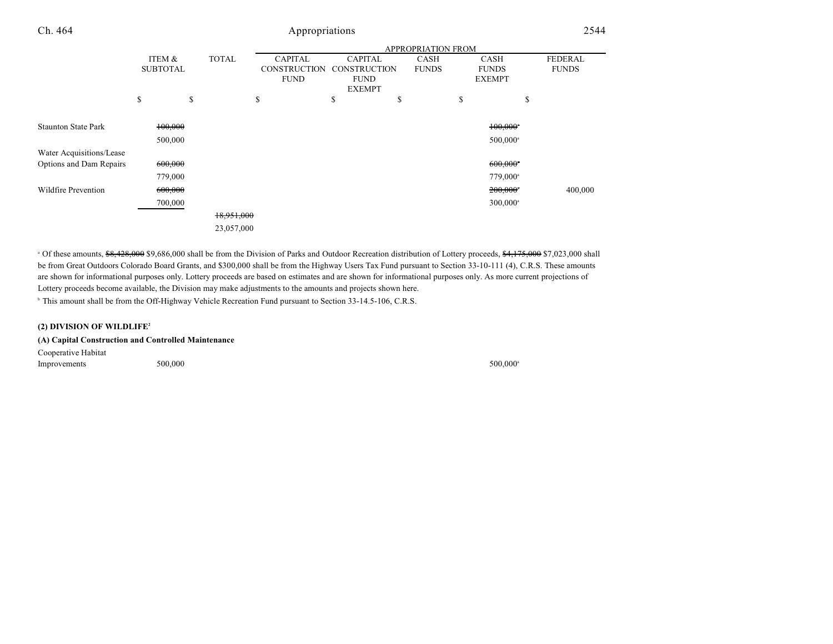|                            |                 |              | <b>APPROPRIATION FROM</b> |                     |              |                        |                |  |
|----------------------------|-----------------|--------------|---------------------------|---------------------|--------------|------------------------|----------------|--|
|                            | ITEM &          | <b>TOTAL</b> | <b>CAPITAL</b>            | <b>CAPITAL</b>      | <b>CASH</b>  | <b>CASH</b>            | <b>FEDERAL</b> |  |
|                            | <b>SUBTOTAL</b> |              | <b>CONSTRUCTION</b>       | <b>CONSTRUCTION</b> | <b>FUNDS</b> | <b>FUNDS</b>           | <b>FUNDS</b>   |  |
|                            |                 |              | <b>FUND</b>               | <b>FUND</b>         |              | <b>EXEMPT</b>          |                |  |
|                            |                 |              |                           | <b>EXEMPT</b>       |              |                        |                |  |
|                            | \$              | \$           | \$                        | \$<br>\$            |              | \$<br>\$               |                |  |
|                            |                 |              |                           |                     |              |                        |                |  |
| <b>Staunton State Park</b> | 100,000         |              |                           |                     |              | $100,000$ <sup>*</sup> |                |  |
|                            | 500,000         |              |                           |                     |              | $500,000$ <sup>a</sup> |                |  |
| Water Acquisitions/Lease   |                 |              |                           |                     |              |                        |                |  |
| Options and Dam Repairs    | 600,000         |              |                           |                     |              | $600,000$ <sup>*</sup> |                |  |
|                            | 779,000         |              |                           |                     |              | 779,000 <sup>a</sup>   |                |  |
| <b>Wildfire Prevention</b> | 600,000         |              |                           |                     |              | 200,000*               | 400,000        |  |
|                            | 700,000         |              |                           |                     |              | $300,000$ <sup>a</sup> |                |  |
|                            |                 | 18,951,000   |                           |                     |              |                        |                |  |
|                            |                 | 23,057,000   |                           |                     |              |                        |                |  |

<sup>a</sup> Of these amounts, \$8,428,000 \$9,686,000 shall be from the Division of Parks and Outdoor Recreation distribution of Lottery proceeds, \$4,175,000 \$7,023,000 shall be from Great Outdoors Colorado Board Grants, and \$300,000 shall be from the Highway Users Tax Fund pursuant to Section 33-10-111 (4), C.R.S. These amounts are shown for informational purposes only. Lottery proceeds are based on estimates and are shown for informational purposes only. As more current projections of Lottery proceeds become available, the Division may make adjustments to the amounts and projects shown here.

<sup>b</sup> This amount shall be from the Off-Highway Vehicle Recreation Fund pursuant to Section 33-14.5-106, C.R.S.

#### **(2) DIVISION OF WILDLIFE<sup>2</sup>**

| (A) Capital Construction and Controlled Maintenance |  |
|-----------------------------------------------------|--|
|-----------------------------------------------------|--|

Cooperative Habitat  $Improvements$  500,000 500,000 500,000 500,000 500,000 500,000 500,000 500,000 500,000 500,000 500,000 500,000 500,000 500,000 500,000 500,000 500,000 500,000 500,000 500,000 500,000 500,000 500,000 500,000 500,000 500,000 500,000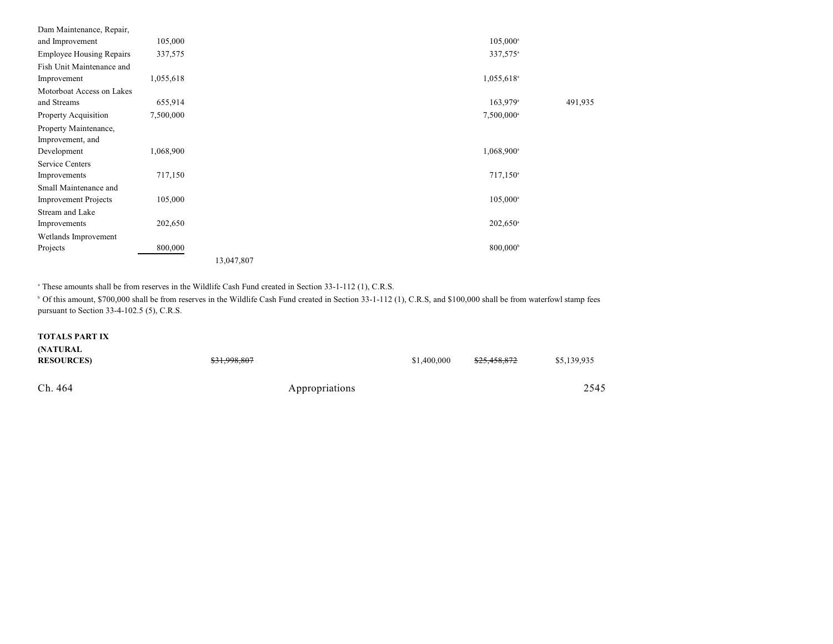| Dam Maintenance, Repair,        |           |            |                          |         |
|---------------------------------|-----------|------------|--------------------------|---------|
| and Improvement                 | 105,000   |            | $105,000^{\circ}$        |         |
| <b>Employee Housing Repairs</b> | 337,575   |            | 337,575 <sup>a</sup>     |         |
| Fish Unit Maintenance and       |           |            |                          |         |
| Improvement                     | 1,055,618 |            | 1,055,618 <sup>a</sup>   |         |
| Motorboat Access on Lakes       |           |            |                          |         |
| and Streams                     | 655,914   |            | $163,979$ <sup>a</sup>   | 491,935 |
| Property Acquisition            | 7,500,000 |            | 7,500,000 <sup>a</sup>   |         |
| Property Maintenance,           |           |            |                          |         |
| Improvement, and                |           |            |                          |         |
| Development                     | 1,068,900 |            | $1,068,900$ <sup>a</sup> |         |
| Service Centers                 |           |            |                          |         |
| Improvements                    | 717,150   |            | $717,150^{\circ}$        |         |
| Small Maintenance and           |           |            |                          |         |
| <b>Improvement Projects</b>     | 105,000   |            | $105,000^{\circ}$        |         |
| Stream and Lake                 |           |            |                          |         |
| Improvements                    | 202,650   |            | $202,650$ <sup>a</sup>   |         |
| Wetlands Improvement            |           |            |                          |         |
| Projects                        | 800,000   |            | 800,000 <sup>b</sup>     |         |
|                                 |           | 13,047,807 |                          |         |

<sup>a</sup> These amounts shall be from reserves in the Wildlife Cash Fund created in Section 33-1-112 (1), C.R.S.

<sup>b</sup> Of this amount, \$700,000 shall be from reserves in the Wildlife Cash Fund created in Section 33-1-112 (1), C.R.S, and \$100,000 shall be from waterfowl stamp fees pursuant to Section 33-4-102.5 (5), C.R.S.

#### **TOTALS PART IX**

| (NATURAL<br><b>RESOURCES</b> | \$31,998,807   |  | <del>\$25,458,872</del> | \$5,139,935 |
|------------------------------|----------------|--|-------------------------|-------------|
| Ch. 464                      | Appropriations |  |                         | 2545        |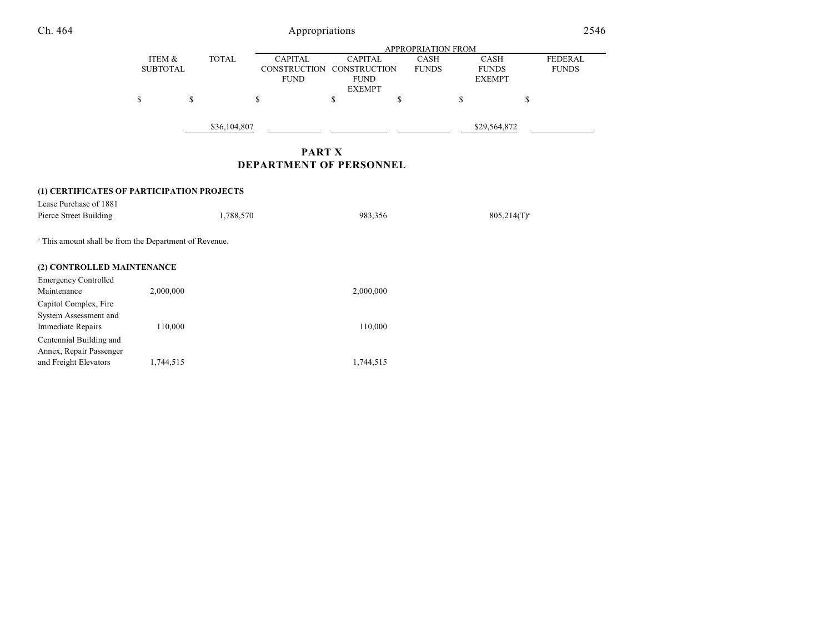| Ch. 464                                                           | Appropriations            |              |                                               |                                                                |                             |                                              | 2546                           |  |
|-------------------------------------------------------------------|---------------------------|--------------|-----------------------------------------------|----------------------------------------------------------------|-----------------------------|----------------------------------------------|--------------------------------|--|
|                                                                   | APPROPRIATION FROM        |              |                                               |                                                                |                             |                                              |                                |  |
|                                                                   | ITEM &<br><b>SUBTOTAL</b> | <b>TOTAL</b> | <b>CAPITAL</b><br>CONSTRUCTION<br><b>FUND</b> | <b>CAPITAL</b><br>CONSTRUCTION<br><b>FUND</b><br><b>EXEMPT</b> | <b>CASH</b><br><b>FUNDS</b> | <b>CASH</b><br><b>FUNDS</b><br><b>EXEMPT</b> | <b>FEDERAL</b><br><b>FUNDS</b> |  |
|                                                                   | \$                        | \$           | \$                                            | \$                                                             | <sup>\$</sup>               | \$                                           | \$                             |  |
|                                                                   |                           | \$36,104,807 |                                               |                                                                |                             | \$29,564,872                                 |                                |  |
|                                                                   |                           |              | <b>PART X</b>                                 |                                                                |                             |                                              |                                |  |
|                                                                   |                           |              | DEPARTMENT OF PERSONNEL                       |                                                                |                             |                                              |                                |  |
| (1) CERTIFICATES OF PARTICIPATION PROJECTS                        |                           |              |                                               |                                                                |                             |                                              |                                |  |
| Lease Purchase of 1881                                            |                           |              |                                               |                                                                |                             |                                              |                                |  |
| Pierce Street Building                                            |                           | 1,788,570    |                                               | 983,356                                                        |                             | $805,214(T)^{a}$                             |                                |  |
| <sup>a</sup> This amount shall be from the Department of Revenue. |                           |              |                                               |                                                                |                             |                                              |                                |  |
| (2) CONTROLLED MAINTENANCE                                        |                           |              |                                               |                                                                |                             |                                              |                                |  |
| <b>Emergency Controlled</b>                                       |                           |              |                                               |                                                                |                             |                                              |                                |  |
| Maintenance                                                       | 2,000,000                 |              |                                               | 2,000,000                                                      |                             |                                              |                                |  |
| Capitol Complex, Fire                                             |                           |              |                                               |                                                                |                             |                                              |                                |  |
| System Assessment and                                             |                           |              |                                               |                                                                |                             |                                              |                                |  |
| Immediate Repairs                                                 | 110,000                   |              |                                               | 110,000                                                        |                             |                                              |                                |  |

Centennial Building and Annex, Repair Passenger

and Freight Elevators 1,744,515 1,744,515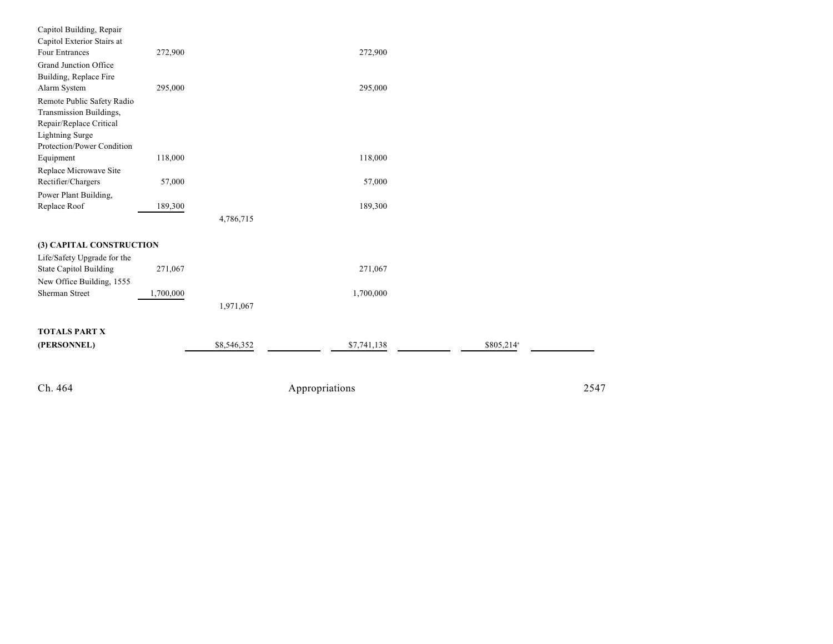| Capitol Building, Repair      |           |             |                |                        |      |
|-------------------------------|-----------|-------------|----------------|------------------------|------|
| Capitol Exterior Stairs at    |           |             |                |                        |      |
| <b>Four Entrances</b>         | 272,900   |             | 272,900        |                        |      |
| Grand Junction Office         |           |             |                |                        |      |
| Building, Replace Fire        |           |             |                |                        |      |
| Alarm System                  | 295,000   |             | 295,000        |                        |      |
| Remote Public Safety Radio    |           |             |                |                        |      |
| Transmission Buildings,       |           |             |                |                        |      |
| Repair/Replace Critical       |           |             |                |                        |      |
| <b>Lightning Surge</b>        |           |             |                |                        |      |
| Protection/Power Condition    |           |             |                |                        |      |
| Equipment                     | 118,000   |             | 118,000        |                        |      |
| Replace Microwave Site        |           |             |                |                        |      |
| Rectifier/Chargers            | 57,000    |             | 57,000         |                        |      |
| Power Plant Building,         |           |             |                |                        |      |
| Replace Roof                  | 189,300   |             | 189,300        |                        |      |
|                               |           | 4,786,715   |                |                        |      |
| (3) CAPITAL CONSTRUCTION      |           |             |                |                        |      |
| Life/Safety Upgrade for the   |           |             |                |                        |      |
| <b>State Capitol Building</b> | 271,067   |             | 271,067        |                        |      |
| New Office Building, 1555     |           |             |                |                        |      |
| <b>Sherman Street</b>         | 1,700,000 |             | 1,700,000      |                        |      |
|                               |           | 1,971,067   |                |                        |      |
|                               |           |             |                |                        |      |
| <b>TOTALS PART X</b>          |           |             |                |                        |      |
| (PERSONNEL)                   |           | \$8,546,352 | \$7,741,138    | \$805,214 <sup>a</sup> |      |
|                               |           |             |                |                        |      |
|                               |           |             |                |                        |      |
| Ch. 464                       |           |             | Appropriations |                        | 2547 |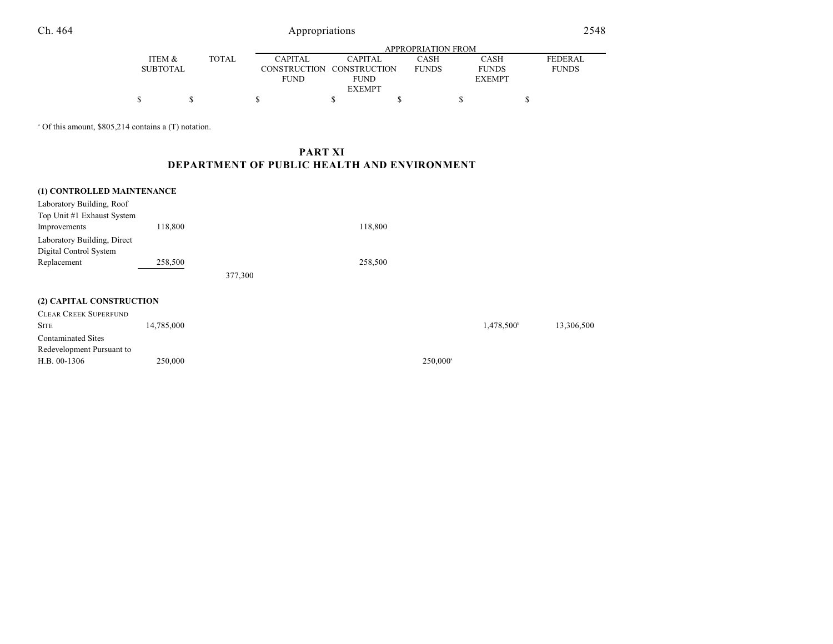# Appropriations 2548

|                 |               | APPROPRIATION FROM |                           |      |                              |                |  |  |  |
|-----------------|---------------|--------------------|---------------------------|------|------------------------------|----------------|--|--|--|
| ITEM &          | <b>TOTAL</b>  | <b>CAPITAL</b>     | CAPITAL                   | CASH | CASH                         | <b>FEDERAL</b> |  |  |  |
| <b>SUBTOTAL</b> |               |                    | CONSTRUCTION CONSTRUCTION |      | <b>FUNDS</b><br><b>FUNDS</b> |                |  |  |  |
|                 |               | <b>FUND</b>        | <b>FUND</b>               |      | <b>EXEMPT</b>                |                |  |  |  |
|                 | <b>EXEMPT</b> |                    |                           |      |                              |                |  |  |  |
|                 |               |                    |                           |      |                              |                |  |  |  |

<sup>a</sup> Of this amount, \$805,214 contains a (T) notation.

# **PART XI DEPARTMENT OF PUBLIC HEALTH AND ENVIRONMENT**

| (1) CONTROLLED MAINTENANCE<br>Laboratory Building, Roof<br>Top Unit #1 Exhaust System |            |         |         |                      |                        |            |
|---------------------------------------------------------------------------------------|------------|---------|---------|----------------------|------------------------|------------|
| Improvements                                                                          | 118,800    |         | 118,800 |                      |                        |            |
| Laboratory Building, Direct                                                           |            |         |         |                      |                        |            |
| Digital Control System                                                                |            |         |         |                      |                        |            |
| Replacement                                                                           | 258,500    |         | 258,500 |                      |                        |            |
|                                                                                       |            | 377,300 |         |                      |                        |            |
|                                                                                       |            |         |         |                      |                        |            |
| (2) CAPITAL CONSTRUCTION                                                              |            |         |         |                      |                        |            |
| <b>CLEAR CREEK SUPERFUND</b>                                                          |            |         |         |                      |                        |            |
| <b>SITE</b>                                                                           | 14,785,000 |         |         |                      | 1,478,500 <sup>b</sup> | 13,306,500 |
| <b>Contaminated Sites</b>                                                             |            |         |         |                      |                        |            |
| Redevelopment Pursuant to                                                             |            |         |         |                      |                        |            |
| H.B. 00-1306                                                                          | 250,000    |         |         | 250,000 <sup>a</sup> |                        |            |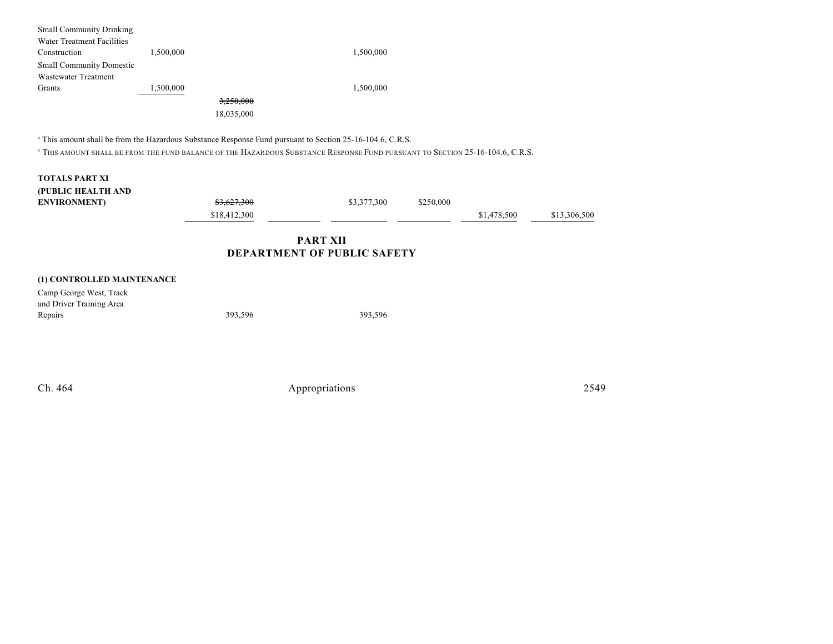| <b>Small Community Drinking</b> |           |            |           |
|---------------------------------|-----------|------------|-----------|
| Water Treatment Facilities      |           |            |           |
| Construction                    | 1,500,000 |            | 1,500,000 |
| <b>Small Community Domestic</b> |           |            |           |
| Wastewater Treatment            |           |            |           |
| Grants                          | 1,500,000 |            | 1,500,000 |
|                                 |           | 3,250,000  |           |
|                                 |           | 18,035,000 |           |
|                                 |           |            |           |

<sup>a</sup> This amount shall be from the Hazardous Substance Response Fund pursuant to Section 25-16-104.6, C.R.S.

<sup>b</sup> This amount shall be from the fund balance of the Hazardous Substance Response Fund pursuant to Section 25-16-104.6, C.R.S.

|                                            |              | <b>PART XII</b><br>DEPARTMENT OF PUBLIC SAFETY |           |             |              |
|--------------------------------------------|--------------|------------------------------------------------|-----------|-------------|--------------|
|                                            | \$18,412,300 |                                                |           | \$1,478,500 | \$13,306,500 |
| (PUBLIC HEALTH AND<br><b>ENVIRONMENT</b> ) | \$3,627,300  | \$3,377,300                                    | \$250,000 |             |              |
| <b>TOTALS PART XI</b>                      |              |                                                |           |             |              |

| (1) CONTROLLED MAINTENANCE |  |
|----------------------------|--|
|----------------------------|--|

| Camp George West, Track  |         |         |
|--------------------------|---------|---------|
| and Driver Training Area |         |         |
| Repairs                  | 393.596 | 393.596 |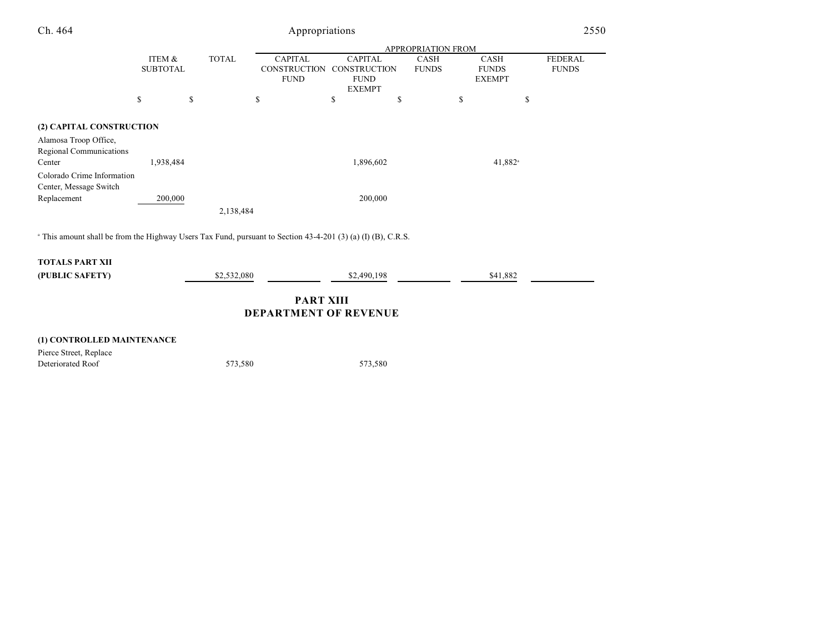| Ch. 464                                                                                                                 |                           |                    | Appropriations                        |                                       |                             |                             | 2550                           |  |  |
|-------------------------------------------------------------------------------------------------------------------------|---------------------------|--------------------|---------------------------------------|---------------------------------------|-----------------------------|-----------------------------|--------------------------------|--|--|
|                                                                                                                         |                           | APPROPRIATION FROM |                                       |                                       |                             |                             |                                |  |  |
|                                                                                                                         | ITEM &<br><b>SUBTOTAL</b> | <b>TOTAL</b>       | <b>CAPITAL</b><br><b>CONSTRUCTION</b> | <b>CAPITAL</b><br><b>CONSTRUCTION</b> | <b>CASH</b><br><b>FUNDS</b> | <b>CASH</b><br><b>FUNDS</b> | <b>FEDERAL</b><br><b>FUNDS</b> |  |  |
|                                                                                                                         |                           |                    | <b>FUND</b>                           | <b>FUND</b><br><b>EXEMPT</b>          |                             | <b>EXEMPT</b>               |                                |  |  |
|                                                                                                                         | \$                        | \$                 | \$                                    | \$<br>\$                              |                             | \$<br>\$                    |                                |  |  |
| (2) CAPITAL CONSTRUCTION                                                                                                |                           |                    |                                       |                                       |                             |                             |                                |  |  |
| Alamosa Troop Office,                                                                                                   |                           |                    |                                       |                                       |                             |                             |                                |  |  |
| Regional Communications                                                                                                 |                           |                    |                                       |                                       |                             |                             |                                |  |  |
| Center                                                                                                                  | 1,938,484                 |                    |                                       | 1,896,602                             |                             | $41,882$ <sup>a</sup>       |                                |  |  |
| Colorado Crime Information                                                                                              |                           |                    |                                       |                                       |                             |                             |                                |  |  |
| Center, Message Switch                                                                                                  |                           |                    |                                       |                                       |                             |                             |                                |  |  |
| Replacement                                                                                                             | 200,000                   |                    |                                       | 200,000                               |                             |                             |                                |  |  |
|                                                                                                                         |                           | 2,138,484          |                                       |                                       |                             |                             |                                |  |  |
|                                                                                                                         |                           |                    |                                       |                                       |                             |                             |                                |  |  |
| <sup>a</sup> This amount shall be from the Highway Users Tax Fund, pursuant to Section 43-4-201 (3) (a) (I) (B), C.R.S. |                           |                    |                                       |                                       |                             |                             |                                |  |  |
|                                                                                                                         |                           |                    |                                       |                                       |                             |                             |                                |  |  |
| <b>TOTALS PART XII</b>                                                                                                  |                           |                    |                                       |                                       |                             |                             |                                |  |  |
| (PUBLIC SAFETY)                                                                                                         |                           | \$2,532,080        |                                       | \$2,490,198                           |                             | \$41,882                    |                                |  |  |

**PART XIII DEPARTMENT OF REVENUE**

| (1) CONTROLLED MAINTENANCE |         |         |
|----------------------------|---------|---------|
| Pierce Street, Replace     |         |         |
| Deteriorated Roof          | 573.580 | 573.580 |
|                            |         |         |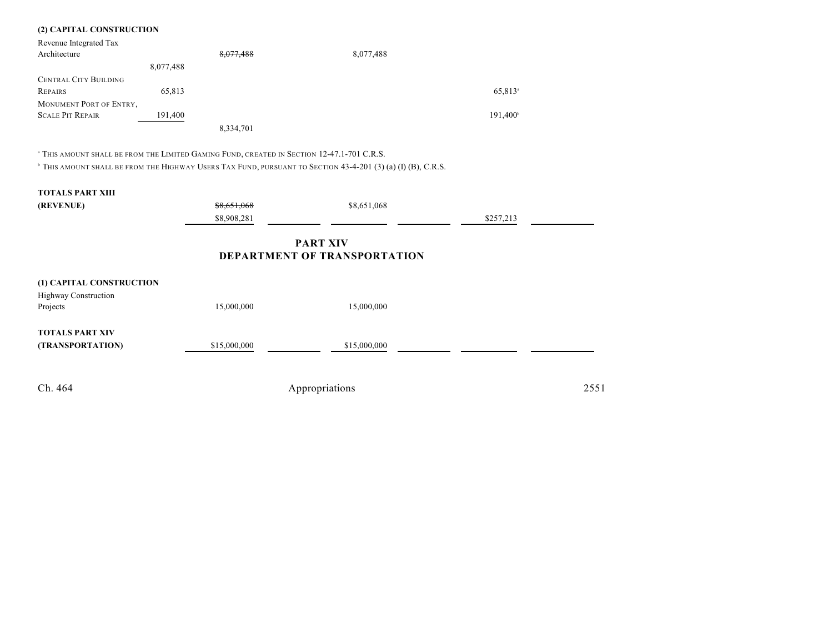### **(2) CAPITAL CONSTRUCTION**

| Revenue Integrated Tax       |           |           |           |                     |
|------------------------------|-----------|-----------|-----------|---------------------|
| Architecture                 |           | 8,077,488 | 8,077,488 |                     |
|                              | 8,077,488 |           |           |                     |
| <b>CENTRAL CITY BUILDING</b> |           |           |           |                     |
| REPAIRS                      | 65.813    |           |           | 65,813 <sup>a</sup> |
| MONUMENT PORT OF ENTRY,      |           |           |           |                     |
| <b>SCALE PIT REPAIR</b>      | 191,400   |           |           | $191,400^{\circ}$   |
|                              |           | 8,334,701 |           |                     |

<sup>a</sup> This amount shall be from the Limited Gaming Fund, created in Section 12-47.1-701 C.R.S.

 $^{\circ}$  This amount shall be from the Highway Users Tax Fund, pursuant to Section 43-4-201 (3) (a) (I) (B), C.R.S.

# **TOTALS PART XIII**

| (REVENUE) | <del>\$8,651,068</del> | \$8,651,068 |              |  |
|-----------|------------------------|-------------|--------------|--|
|           | \$8,908,281            |             | 0.25721<br>. |  |

# **PART XIV DEPARTMENT OF TRANSPORTATION**

| (1) CAPITAL CONSTRUCTION |              |                |      |
|--------------------------|--------------|----------------|------|
| Highway Construction     |              |                |      |
| Projects                 | 15,000,000   | 15,000,000     |      |
| <b>TOTALS PART XIV</b>   |              |                |      |
| (TRANSPORTATION)         | \$15,000,000 | \$15,000,000   |      |
|                          |              |                |      |
|                          |              |                |      |
| Ch. 464                  |              | Appropriations | 2551 |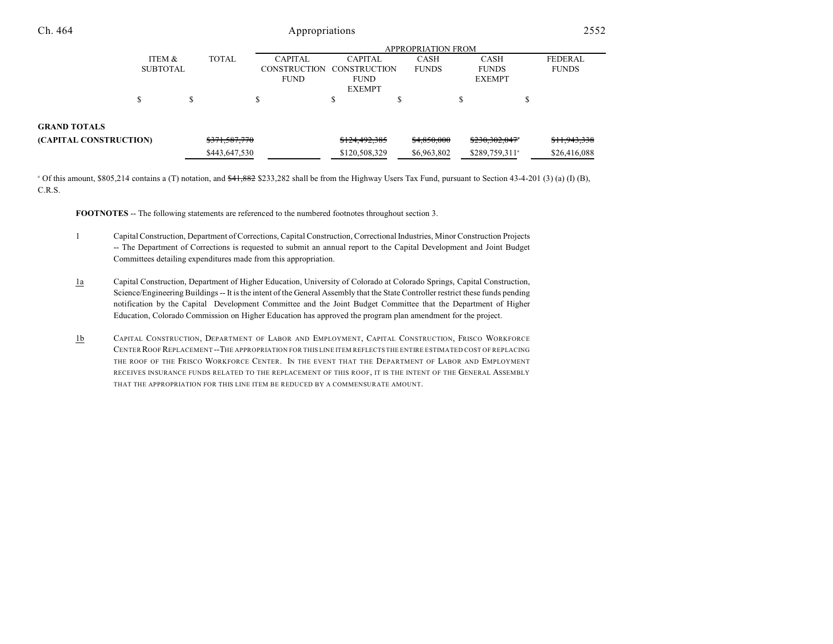| Ch. 464                |                 |               | Appropriations      |                |                    |                            |        | 2552           |
|------------------------|-----------------|---------------|---------------------|----------------|--------------------|----------------------------|--------|----------------|
|                        |                 |               |                     |                | APPROPRIATION FROM |                            |        |                |
|                        | ITEM &          | <b>TOTAL</b>  | <b>CAPITAL</b>      | <b>CAPITAL</b> | <b>CASH</b>        | <b>CASH</b>                |        | <b>FEDERAL</b> |
|                        | <b>SUBTOTAL</b> |               | <b>CONSTRUCTION</b> | CONSTRUCTION   | <b>FUNDS</b>       | <b>FUNDS</b>               |        | <b>FUNDS</b>   |
|                        |                 |               | <b>FUND</b>         | <b>FUND</b>    |                    | <b>EXEMPT</b>              |        |                |
|                        |                 |               |                     | <b>EXEMPT</b>  |                    |                            |        |                |
|                        | J.              | \$            |                     | D              | ¢<br>D             | \$                         | ¢<br>D |                |
| <b>GRAND TOTALS</b>    |                 |               |                     |                |                    |                            |        |                |
| (CAPITAL CONSTRUCTION) |                 | \$371,587,770 |                     | \$124,492,385  | \$4,850,000        | \$230,302,047*             |        | \$11,943,338   |
|                        |                 | \$443,647,530 |                     | \$120,508,329  | \$6,963,802        | \$289,759,311 <sup>a</sup> |        | \$26,416,088   |

<sup>a</sup> Of this amount, \$805,214 contains a (T) notation, and  $\frac{441,882}{2}$  \$233,282 shall be from the Highway Users Tax Fund, pursuant to Section 43-4-201 (3) (a) (I) (B), C.R.S.

**FOOTNOTES** -- The following statements are referenced to the numbered footnotes throughout section 3.

- 1 Capital Construction, Department of Corrections, Capital Construction, Correctional Industries, Minor Construction Projects -- The Department of Corrections is requested to submit an annual report to the Capital Development and Joint Budget Committees detailing expenditures made from this appropriation.
- 1a Capital Construction, Department of Higher Education, University of Colorado at Colorado Springs, Capital Construction, Science/Engineering Buildings -- It isthe intent of the General Assembly that the State Controller restrict these funds pending notification by the Capital Development Committee and the Joint Budget Committee that the Department of Higher Education, Colorado Commission on Higher Education has approved the program plan amendment for the project.
- 1b CAPITAL CONSTRUCTION, DEPARTMENT OF LABOR AND EMPLOYMENT, CAPITAL CONSTRUCTION, FRISCO WORKFORCE CENTER ROOF REPLACEMENT --THE APPROPRIATION FOR THIS LINE ITEM REFLECTS THE ENTIRE ESTIMATED COST OF REPLACING THE ROOF OF THE FRISCO WORKFORCE CENTER. IN THE EVENT THAT THE DEPARTMENT OF LABOR AND EMPLOYMENT RECEIVES INSURANCE FUNDS RELATED TO THE REPLACEMENT OF THIS ROOF, IT IS THE INTENT OF THE GENERAL ASSEMBLY THAT THE APPROPRIATION FOR THIS LINE ITEM BE REDUCED BY A COMMENSURATE AMOUNT.